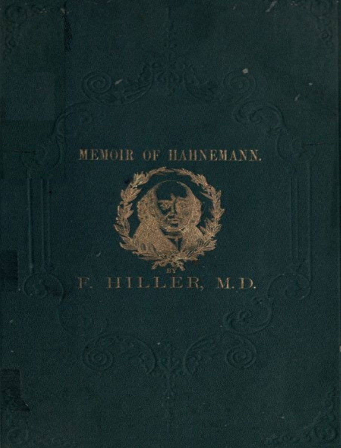#### MEMOIR OF HAHNEMANN.

F. HILLER, M.D.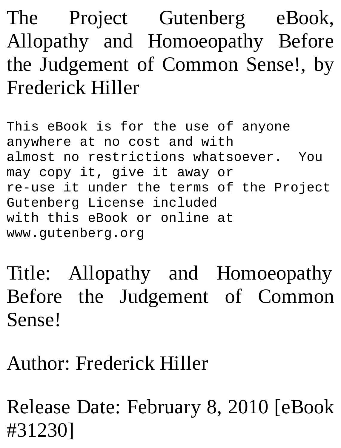The Project Gutenberg eBook, Allopathy and Homoeopathy Before the Judgement of Common Sense!, by Frederick Hiller

This eBook is for the use of anyone anywhere at no cost and with almost no restrictions whatsoever. You may copy it, give it away or re-use it under the terms of the Project Gutenberg License included with this eBook or online at www.gutenberg.org

Title: Allopathy and Homoeopathy Before the Judgement of Common Sense!

Author: Frederick Hiller

Release Date: February 8, 2010 [eBook #31230]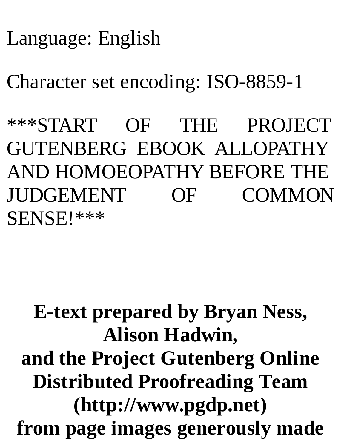#### Language: English

Character set encoding: ISO-8859-1

\*\*\*START OF THE PROJECT GUTENBERG EBOOK ALLOPATHY AND HOMOEOPATHY BEFORE THE JUDGEMENT OF COMMON SENSE!\*\*\*

#### **E-text prepared by Bryan Ness, Alison Hadwin, and the Project Gutenberg Online Distributed Proofreading Team (http://www.pgdp.net) from page images generously made**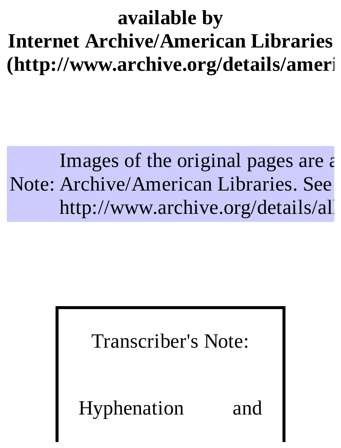#### **available by Internet Archive/American Libraries (http://www.archive.org/details/ameri**

#### Note: Archive/American Libraries. See Images of the original pages are  $\epsilon$ http://www.archive.org/details/all

#### Transcriber's Note:

Hyphenation and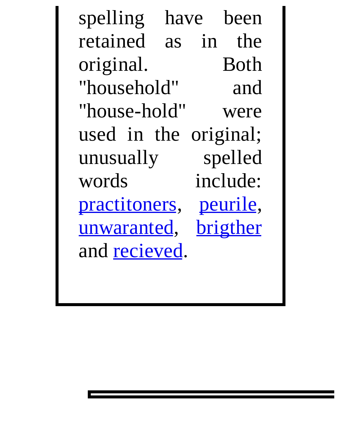spelling have been<br>retained as in the as in the Both original. Both<br>"household" and "household" "house-hold" were used in the original;<br>unusually spelled unusually words include: practitoners, peurile,<br>unwaranted, brigther unwaranted, and recieved.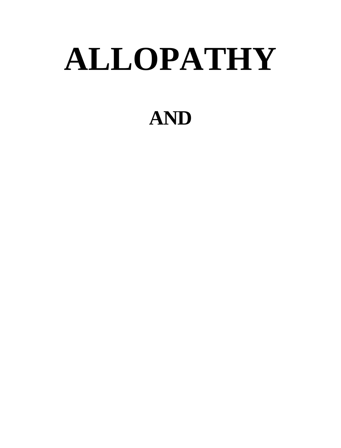# **ALLOPATHY**

#### **AND**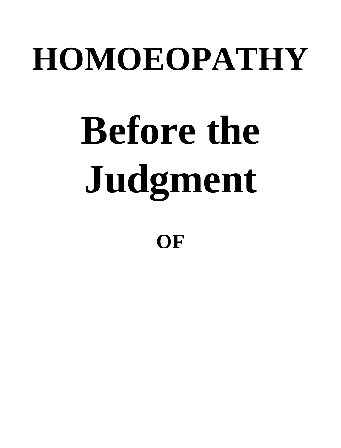## **HOMOEOPATHY**

# **Before the Judgment**

**OF**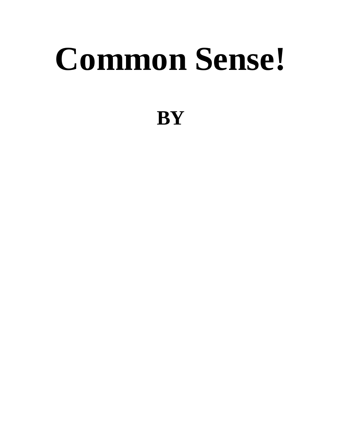## **Common Sense!**

#### **BY**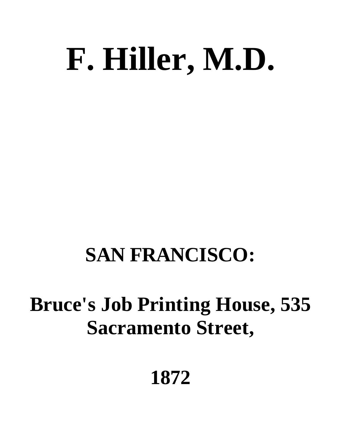## **F. Hiller, M.D.**

#### **SAN FRANCISCO:**

#### **Bruce's Job Printing House, 535 Sacramento Street,**

#### **1872**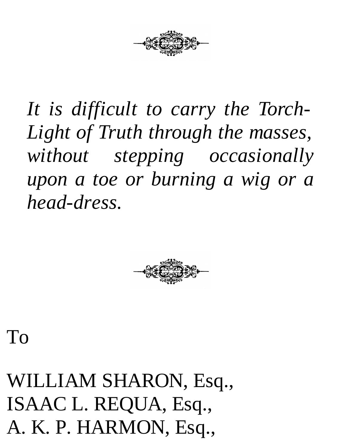

*It is difficult to carry the Torch-Light of Truth through the masses, without stepping occasionally upon a toe or burning a wig or a head-dress.*



To

WILLIAM SHARON, Esq., ISAAC L. REQUA, Esq., A. K. P. HARMON, Esq.,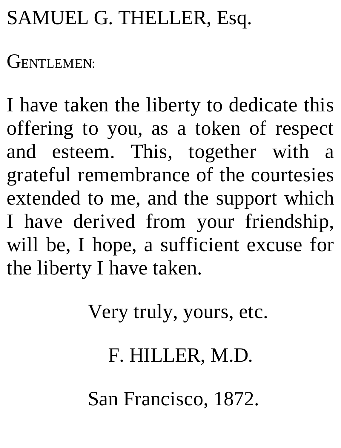#### SAMUEL G. THELLER, Esq.

GENTLEMEN:

I have taken the liberty to dedicate this offering to you, as a token of respect and esteem. This, together with a grateful remembrance of the courtesies extended to me, and the support which I have derived from your friendship, will be, I hope, a sufficient excuse for the liberty I have taken.

Very truly, yours, etc.

F. HILLER, M.D.

San Francisco, 1872.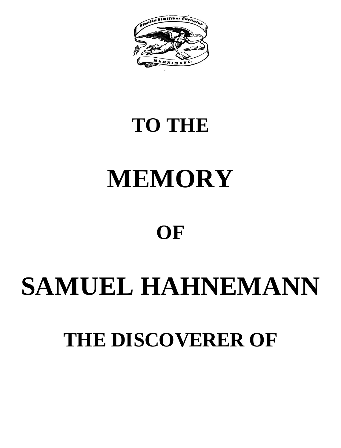

#### **TO THE**

### **MEMORY**

#### **OF**

#### **SAMUEL HAHNEMANN**

#### **THE DISCOVERER OF**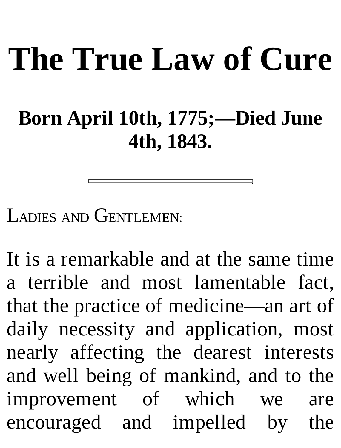# **The True Law of Cure**

#### **Born April 10th, 1775;—Died June 4th, 1843.**

LADIES AND GENTLEMEN:

It is a remarkable and at the same time a terrible and most lamentable fact, that the practice of medicine—an art of daily necessity and application, most nearly affecting the dearest interests and well being of mankind, and to the improvement of which we are encouraged and impelled by the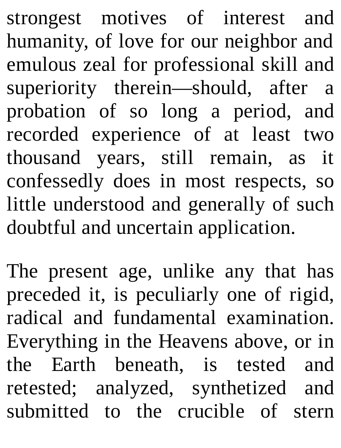strongest motives of interest and humanity, of love for our neighbor and emulous zeal for professional skill and superiority therein—should, after a probation of so long a period, and recorded experience of at least two thousand years, still remain, as it confessedly does in most respects, so little understood and generally of such doubtful and uncertain application.

The present age, unlike any that has preceded it, is peculiarly one of rigid, radical and fundamental examination. Everything in the Heavens above, or in the Earth beneath, is tested and retested; analyzed, synthetized and submitted to the crucible of stern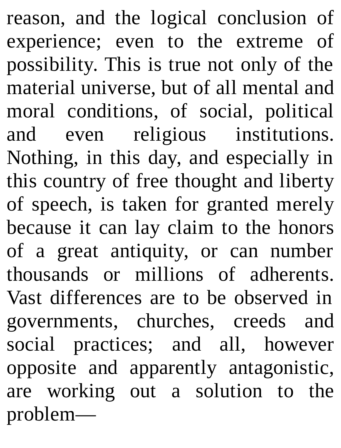reason, and the logical conclusion of experience; even to the extreme of possibility. This is true not only of the material universe, but of all mental and moral conditions, of social, political and even religious institutions. Nothing, in this day, and especially in this country of free thought and liberty of speech, is taken for granted merely because it can lay claim to the honors of a great antiquity, or can number thousands or millions of adherents. Vast differences are to be observed in governments, churches, creeds and social practices; and all, however opposite and apparently antagonistic, are working out a solution to the problem—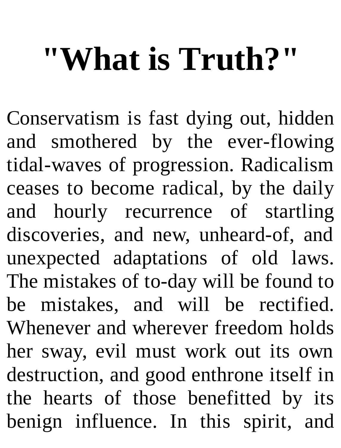## **"What is Truth?"**

Conservatism is fast dying out, hidden and smothered by the ever-flowing tidal-waves of progression. Radicalism ceases to become radical, by the daily and hourly recurrence of startling discoveries, and new, unheard-of, and unexpected adaptations of old laws. The mistakes of to-day will be found to be mistakes, and will be rectified. Whenever and wherever freedom holds her sway, evil must work out its own destruction, and good enthrone itself in the hearts of those benefitted by its benign influence. In this spirit, and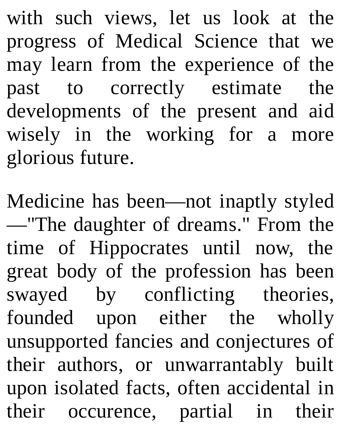with such views, let us look at the progress of Medical Science that we may learn from the experience of the past to correctly estimate the developments of the present and aid wisely in the working for a more glorious future.

Medicine has been—not inaptly styled —"The daughter of dreams." From the time of Hippocrates until now, the great body of the profession has been swayed by conflicting theories, founded upon either the wholly unsupported fancies and conjectures of their authors, or unwarrantably built upon isolated facts, often accidental in their occurence, partial in their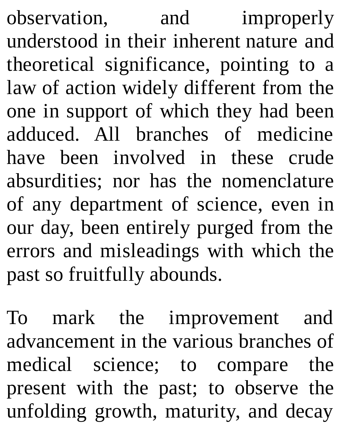observation, and improperly understood in their inherent nature and theoretical significance, pointing to a law of action widely different from the one in support of which they had been adduced. All branches of medicine have been involved in these crude absurdities; nor has the nomenclature of any department of science, even in our day, been entirely purged from the errors and misleadings with which the past so fruitfully abounds.

To mark the improvement and advancement in the various branches of medical science; to compare the present with the past; to observe the unfolding growth, maturity, and decay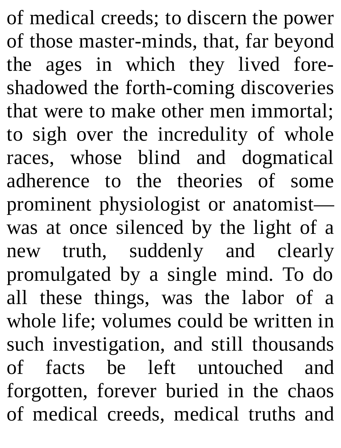of medical creeds; to discern the power of those master-minds, that, far beyond the ages in which they lived foreshadowed the forth-coming discoveries that were to make other men immortal; to sigh over the incredulity of whole races, whose blind and dogmatical adherence to the theories of some prominent physiologist or anatomist was at once silenced by the light of a new truth, suddenly and clearly promulgated by a single mind. To do all these things, was the labor of a whole life; volumes could be written in such investigation, and still thousands of facts be left untouched and forgotten, forever buried in the chaos of medical creeds, medical truths and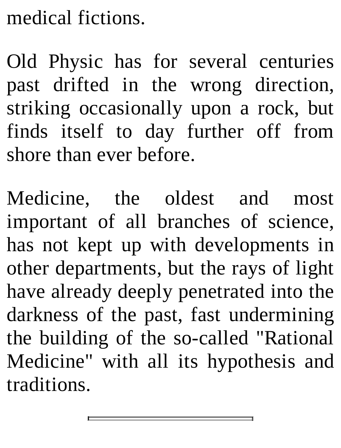#### medical fictions.

Old Physic has for several centuries past drifted in the wrong direction, striking occasionally upon a rock, but finds itself to day further off from shore than ever before.

Medicine, the oldest and most important of all branches of science, has not kept up with developments in other departments, but the rays of light have already deeply penetrated into the darkness of the past, fast undermining the building of the so-called "Rational Medicine" with all its hypothesis and traditions.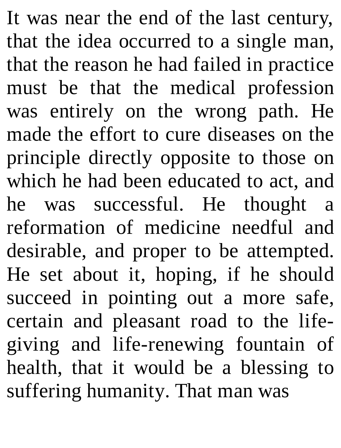It was near the end of the last century, that the idea occurred to a single man, that the reason he had failed in practice must be that the medical profession was entirely on the wrong path. He made the effort to cure diseases on the principle directly opposite to those on which he had been educated to act, and he was successful. He thought a reformation of medicine needful and desirable, and proper to be attempted. He set about it, hoping, if he should succeed in pointing out a more safe, certain and pleasant road to the lifegiving and life-renewing fountain of health, that it would be a blessing to suffering humanity. That man was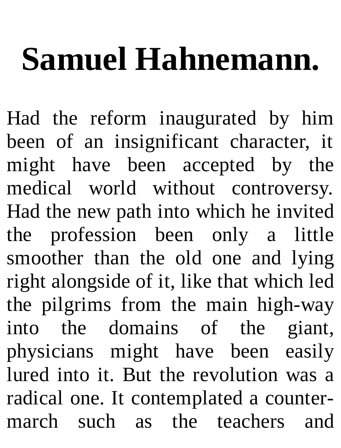## **Samuel Hahnemann.**

Had the reform inaugurated by him been of an insignificant character, it might have been accepted by the medical world without controversy. Had the new path into which he invited the profession been only a little smoother than the old one and lying right alongside of it, like that which led the pilgrims from the main high-way into the domains of the giant, physicians might have been easily lured into it. But the revolution was a radical one. It contemplated a countermarch such as the teachers and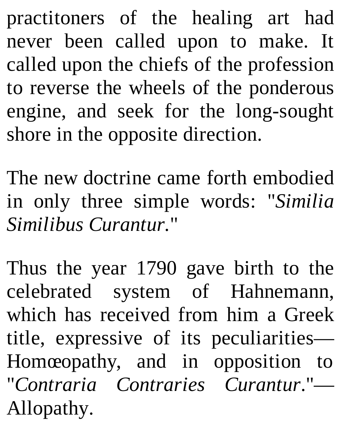practitoners of the healing art had never been called upon to make. It called upon the chiefs of the profession to reverse the wheels of the ponderous engine, and seek for the long-sought shore in the opposite direction.

The new doctrine came forth embodied in only three simple words: "*Similia Similibus Curantur.*"

Thus the year 1790 gave birth to the celebrated system of Hahnemann, which has received from him a Greek title, expressive of its peculiarities— Homœopathy, and in opposition to "*Contraria Contraries Curantur*."— Allopathy.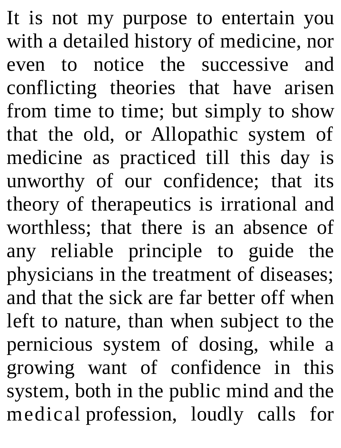It is not my purpose to entertain you with a detailed history of medicine, nor even to notice the successive and conflicting theories that have arisen from time to time; but simply to show that the old, or Allopathic system of medicine as practiced till this day is unworthy of our confidence; that its theory of therapeutics is irrational and worthless; that there is an absence of any reliable principle to guide the physicians in the treatment of diseases; and that the sick are far better off when left to nature, than when subject to the pernicious system of dosing, while a growing want of confidence in this system, both in the public mind and the medical profession, loudly calls for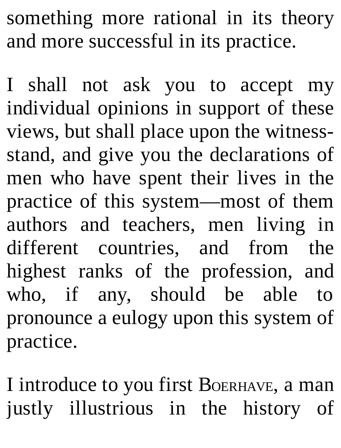something more rational in its theory and more successful in its practice.

I shall not ask you to accept my individual opinions in support of these views, but shall place upon the witnessstand, and give you the declarations of men who have spent their lives in the practice of this system—most of them authors and teachers, men living in different countries, and from the highest ranks of the profession, and who, if any, should be able to pronounce a eulogy upon this system of practice.

I introduce to you first BOERHAVE, a man justly illustrious in the history of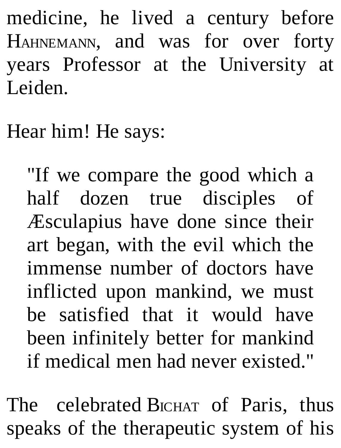medicine, he lived a century before HAHNEMANN, and was for over forty years Professor at the University at Leiden.

Hear him! He says:

"If we compare the good which a half dozen true disciples of Æsculapius have done since their art began, with the evil which the immense number of doctors have inflicted upon mankind, we must be satisfied that it would have been infinitely better for mankind if medical men had never existed."

The celebrated BICHAT of Paris, thus speaks of the therapeutic system of his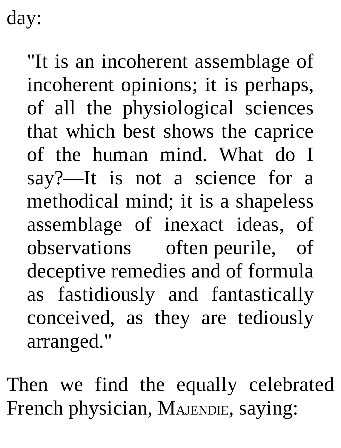day:

"It is an incoherent assemblage of incoherent opinions; it is perhaps, of all the physiological sciences that which best shows the caprice of the human mind. What do I say?—It is not a science for a methodical mind; it is a shapeless assemblage of inexact ideas, of observations often peurile, of deceptive remedies and of formula as fastidiously and fantastically conceived, as they are tediously arranged."

Then we find the equally celebrated French physician, MAJENDIE, saying: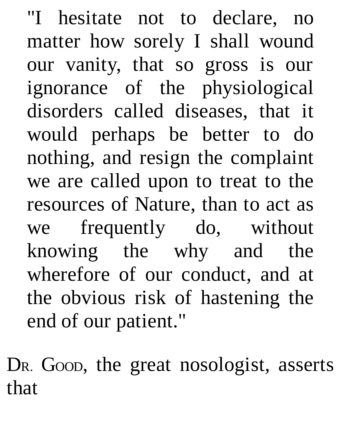"I hesitate not to declare, no matter how sorely I shall wound our vanity, that so gross is our ignorance of the physiological disorders called diseases, that it would perhaps be better to do nothing, and resign the complaint we are called upon to treat to the resources of Nature, than to act as we frequently do, without knowing the why and the wherefore of our conduct, and at the obvious risk of hastening the end of our patient."

D<sub>R</sub>. Goop, the great nosologist, asserts that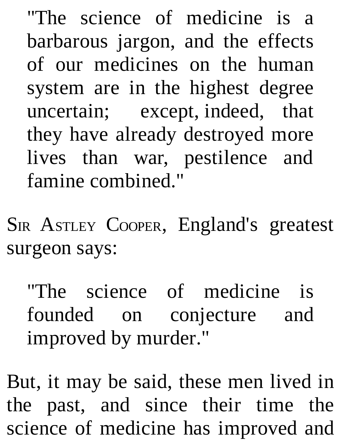"The science of medicine is a barbarous jargon, and the effects of our medicines on the human system are in the highest degree uncertain; except, indeed, that they have already destroyed more lives than war, pestilence and famine combined."

SIR ASTLEY COOPER, England's greatest surgeon says:

"The science of medicine is founded on conjecture and improved by murder."

But, it may be said, these men lived in the past, and since their time the science of medicine has improved and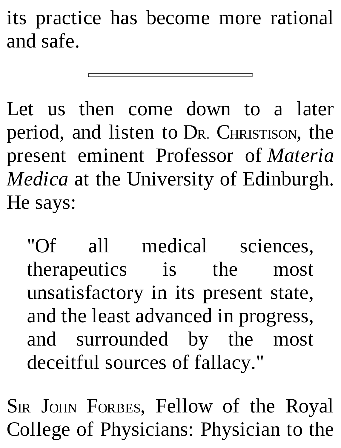its practice has become more rational and safe.

Let us then come down to a later period, and listen to DR. CHRISTISON, the present eminent Professor of *Materia Medica* at the University of Edinburgh. He says:

"Of all medical sciences, therapeutics is the most unsatisfactory in its present state, and the least advanced in progress, and surrounded by the most deceitful sources of fallacy."

SIR JOHN FORBES, Fellow of the Royal College of Physicians: Physician to the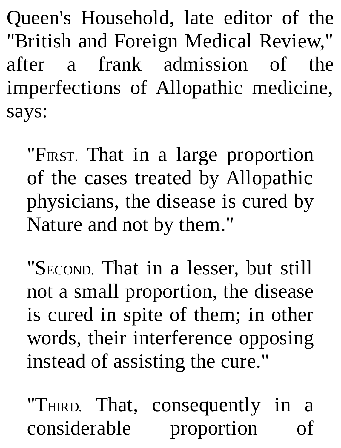Queen's Household, late editor of the "British and Foreign Medical Review," after a frank admission of the imperfections of Allopathic medicine, says:

"FIRST. That in a large proportion of the cases treated by Allopathic physicians, the disease is cured by Nature and not by them."

"SECOND. That in a lesser, but still not a small proportion, the disease is cured in spite of them; in other words, their interference opposing instead of assisting the cure."

"THIRD. That, consequently in a considerable proportion of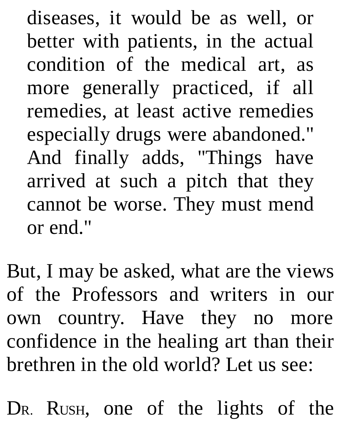diseases, it would be as well, or better with patients, in the actual condition of the medical art, as more generally practiced, if all remedies, at least active remedies especially drugs were abandoned." And finally adds, "Things have arrived at such a pitch that they cannot be worse. They must mend or end."

But, I may be asked, what are the views of the Professors and writers in our own country. Have they no more confidence in the healing art than their brethren in the old world? Let us see:

DR. RUSH, one of the lights of the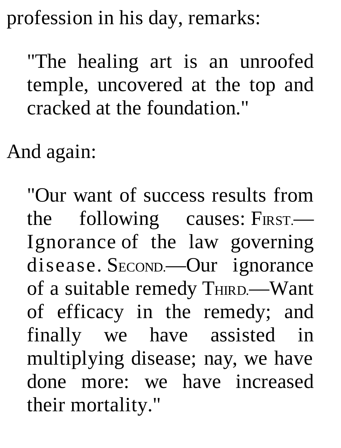profession in his day, remarks:

"The healing art is an unroofed temple, uncovered at the top and cracked at the foundation."

And again:

"Our want of success results from the following causes: FIRST.— Ignorance of the law governing disease. SECOND.—Our ignorance of a suitable remedy THIRD.—Want of efficacy in the remedy; and finally we have assisted in multiplying disease; nay, we have done more: we have increased their mortality."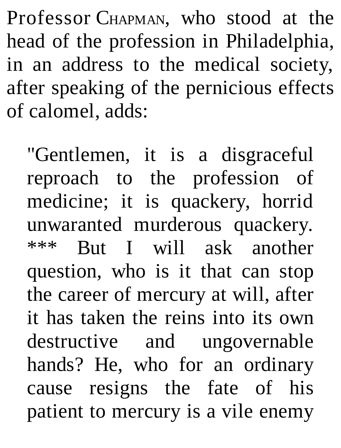Professor CHAPMAN, who stood at the head of the profession in Philadelphia, in an address to the medical society, after speaking of the pernicious effects of calomel, adds:

"Gentlemen, it is a disgraceful reproach to the profession of medicine; it is quackery, horrid unwaranted murderous quackery. \*\*\* But I will ask another question, who is it that can stop the career of mercury at will, after it has taken the reins into its own destructive and ungovernable hands? He, who for an ordinary cause resigns the fate of his patient to mercury is a vile enemy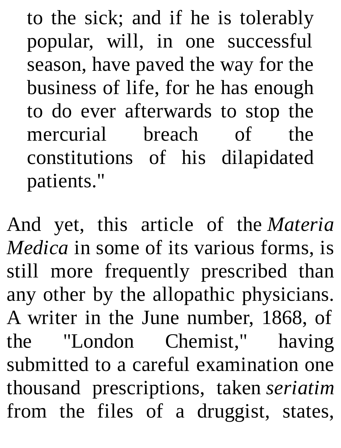to the sick; and if he is tolerably popular, will, in one successful season, have paved the way for the business of life, for he has enough to do ever afterwards to stop the mercurial breach of the constitutions of his dilapidated patients."

And yet, this article of the *Materia Medica* in some of its various forms, is still more frequently prescribed than any other by the allopathic physicians. A writer in the June number, 1868, of the "London Chemist," having submitted to a careful examination one thousand prescriptions, taken *seriatim* from the files of a druggist, states,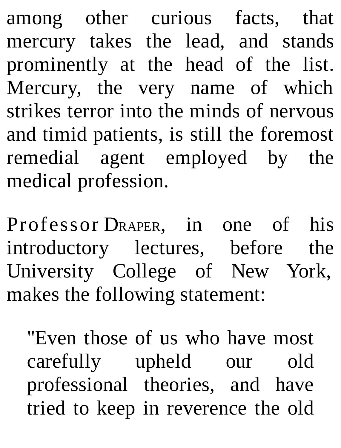among other curious facts, that mercury takes the lead, and stands prominently at the head of the list. Mercury, the very name of which strikes terror into the minds of nervous and timid patients, is still the foremost remedial agent employed by the medical profession.

Professor DRAPER, in one of his introductory lectures, before the University College of New York, makes the following statement:

"Even those of us who have most carefully upheld our old professional theories, and have tried to keep in reverence the old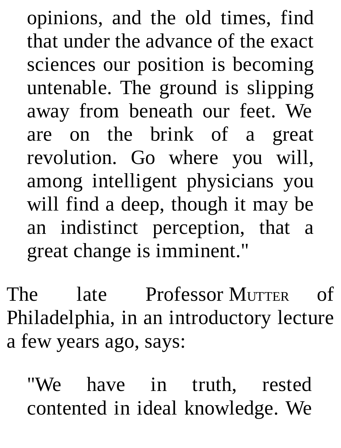opinions, and the old times, find that under the advance of the exact sciences our position is becoming untenable. The ground is slipping away from beneath our feet. We are on the brink of a great revolution. Go where you will, among intelligent physicians you will find a deep, though it may be an indistinct perception, that a great change is imminent."

The late Professor MUTTER of Philadelphia, in an introductory lecture a few years ago, says:

"We have in truth, rested contented in ideal knowledge. We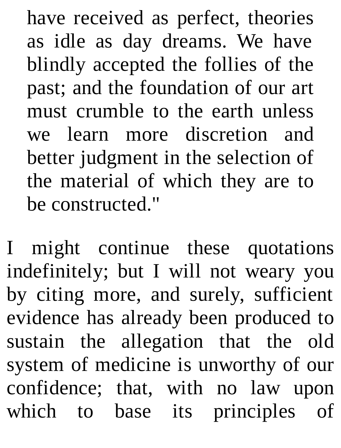have received as perfect, theories as idle as day dreams. We have blindly accepted the follies of the past; and the foundation of our art must crumble to the earth unless we learn more discretion and better judgment in the selection of the material of which they are to be constructed."

I might continue these quotations indefinitely; but I will not weary you by citing more, and surely, sufficient evidence has already been produced to sustain the allegation that the old system of medicine is unworthy of our confidence; that, with no law upon which to base its principles of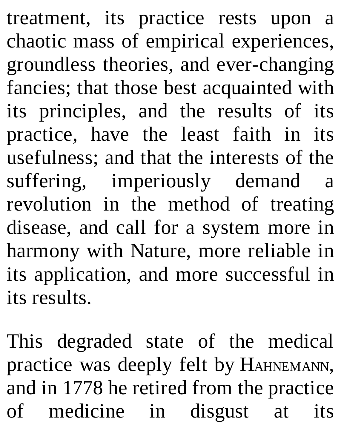treatment, its practice rests upon a chaotic mass of empirical experiences, groundless theories, and ever-changing fancies; that those best acquainted with its principles, and the results of its practice, have the least faith in its usefulness; and that the interests of the suffering, imperiously demand a revolution in the method of treating disease, and call for a system more in harmony with Nature, more reliable in its application, and more successful in its results.

This degraded state of the medical practice was deeply felt by HAHNEMANN, and in 1778 he retired from the practice of medicine in disgust at its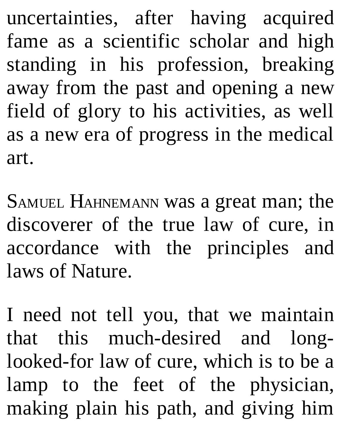uncertainties, after having acquired fame as a scientific scholar and high standing in his profession, breaking away from the past and opening a new field of glory to his activities, as well as a new era of progress in the medical art.

SAMUEL HAHNEMANN was a great man; the discoverer of the true law of cure, in accordance with the principles and laws of Nature.

I need not tell you, that we maintain that this much-desired and longlooked-for law of cure, which is to be a lamp to the feet of the physician, making plain his path, and giving him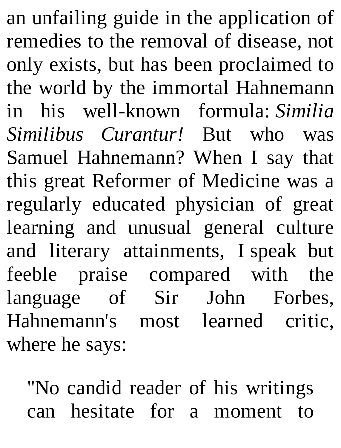an unfailing guide in the application of remedies to the removal of disease, not only exists, but has been proclaimed to the world by the immortal Hahnemann in his well-known formula: *Similia Similibus Curantur!* But who was Samuel Hahnemann? When I say that this great Reformer of Medicine was a regularly educated physician of great learning and unusual general culture and literary attainments, I speak but feeble praise compared with the language of Sir John Forbes, Hahnemann's most learned critic, where he says:

"No candid reader of his writings can hesitate for a moment to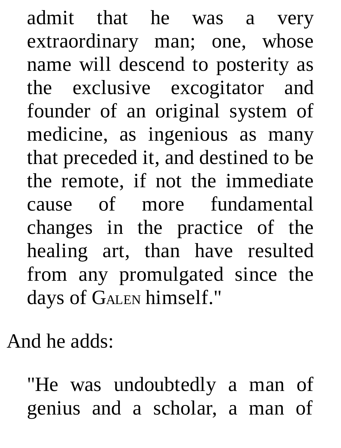admit that he was a very extraordinary man; one, whose name will descend to posterity as the exclusive excogitator and founder of an original system of medicine, as ingenious as many that preceded it, and destined to be the remote, if not the immediate cause of more fundamental changes in the practice of the healing art, than have resulted from any promulgated since the days of GALEN himself."

And he adds:

"He was undoubtedly a man of genius and a scholar, a man of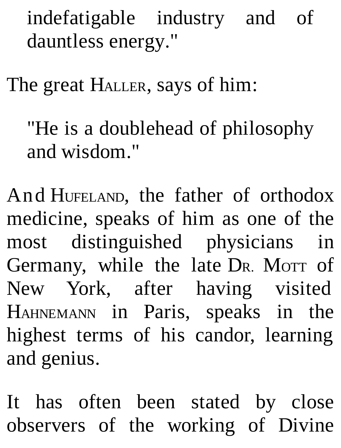indefatigable industry and of dauntless energy."

The great HALLER, says of him:

"He is a doublehead of philosophy and wisdom."

And HUFELAND, the father of orthodox medicine, speaks of him as one of the most distinguished physicians in Germany, while the late DR. MOTT of New York, after having visited HAHNEMANN in Paris, speaks in the highest terms of his candor, learning and genius.

It has often been stated by close observers of the working of Divine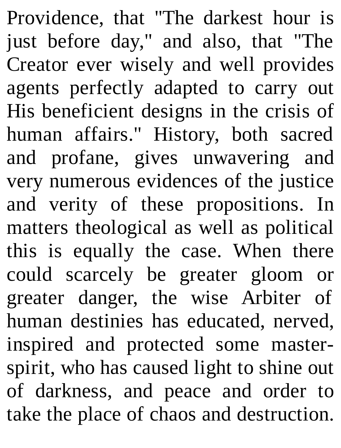Providence, that "The darkest hour is just before day," and also, that "The Creator ever wisely and well provides agents perfectly adapted to carry out His beneficient designs in the crisis of human affairs." History, both sacred and profane, gives unwavering and very numerous evidences of the justice and verity of these propositions. In matters theological as well as political this is equally the case. When there could scarcely be greater gloom or greater danger, the wise Arbiter of human destinies has educated, nerved, inspired and protected some masterspirit, who has caused light to shine out of darkness, and peace and order to take the place of chaos and destruction.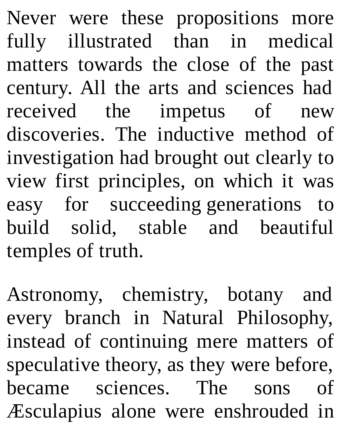Never were these propositions more fully illustrated than in medical matters towards the close of the past century. All the arts and sciences had received the impetus of new discoveries. The inductive method of investigation had brought out clearly to view first principles, on which it was easy for succeeding generations to build solid, stable and beautiful temples of truth.

Astronomy, chemistry, botany and every branch in Natural Philosophy, instead of continuing mere matters of speculative theory, as they were before, became sciences. The sons of Æsculapius alone were enshrouded in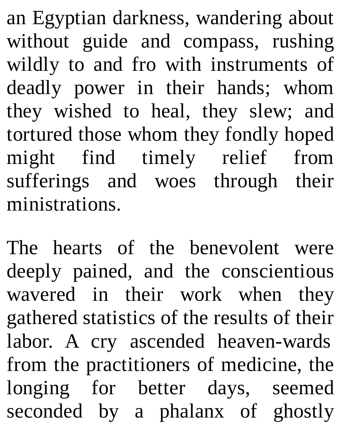an Egyptian darkness, wandering about without guide and compass, rushing wildly to and fro with instruments of deadly power in their hands; whom they wished to heal, they slew; and tortured those whom they fondly hoped might find timely relief from sufferings and woes through their ministrations.

The hearts of the benevolent were deeply pained, and the conscientious wavered in their work when they gathered statistics of the results of their labor. A cry ascended heaven-wards from the practitioners of medicine, the longing for better days, seemed seconded by a phalanx of ghostly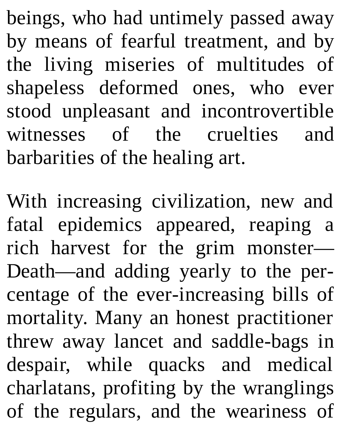beings, who had untimely passed away by means of fearful treatment, and by the living miseries of multitudes of shapeless deformed ones, who ever stood unpleasant and incontrovertible witnesses of the cruelties and barbarities of the healing art.

With increasing civilization, new and fatal epidemics appeared, reaping a rich harvest for the grim monster— Death—and adding yearly to the percentage of the ever-increasing bills of mortality. Many an honest practitioner threw away lancet and saddle-bags in despair, while quacks and medical charlatans, profiting by the wranglings of the regulars, and the weariness of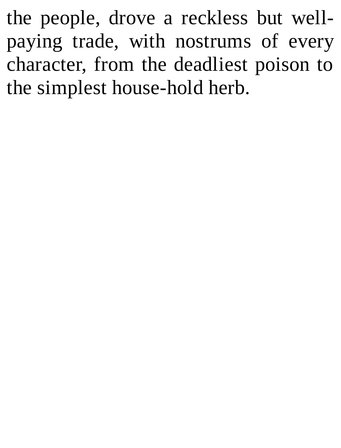the people, drove a reckless but wellpaying trade, with nostrums of every character, from the deadliest poison to the simplest house-hold herb.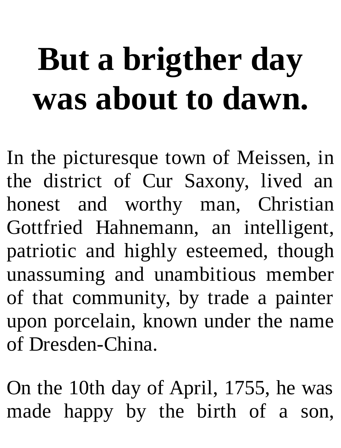## **But a brigther day was about to dawn.**

In the picturesque town of Meissen, in the district of Cur Saxony, lived an honest and worthy man, Christian Gottfried Hahnemann, an intelligent, patriotic and highly esteemed, though unassuming and unambitious member of that community, by trade a painter upon porcelain, known under the name of Dresden-China.

On the 10th day of April, 1755, he was made happy by the birth of a son,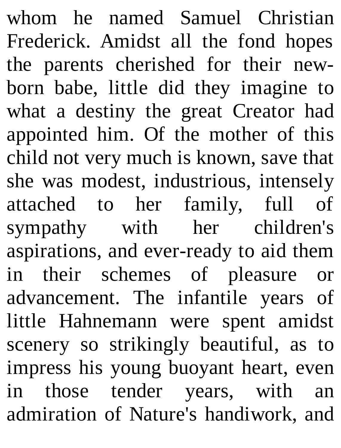whom he named Samuel Christian Frederick. Amidst all the fond hopes the parents cherished for their newborn babe, little did they imagine to what a destiny the great Creator had appointed him. Of the mother of this child not very much is known, save that she was modest, industrious, intensely attached to her family, full of sympathy with her children's aspirations, and ever-ready to aid them in their schemes of pleasure or advancement. The infantile years of little Hahnemann were spent amidst scenery so strikingly beautiful, as to impress his young buoyant heart, even in those tender years, with an admiration of Nature's handiwork, and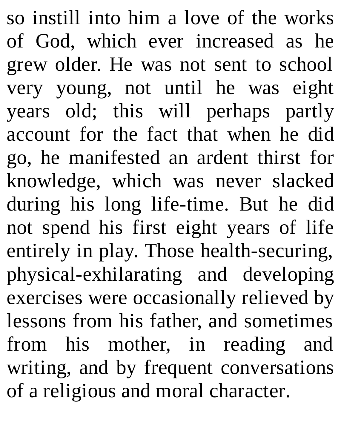so instill into him a love of the works of God, which ever increased as he grew older. He was not sent to school very young, not until he was eight years old; this will perhaps partly account for the fact that when he did go, he manifested an ardent thirst for knowledge, which was never slacked during his long life-time. But he did not spend his first eight years of life entirely in play. Those health-securing, physical-exhilarating and developing exercises were occasionally relieved by lessons from his father, and sometimes from his mother, in reading and writing, and by frequent conversations of a religious and moral character.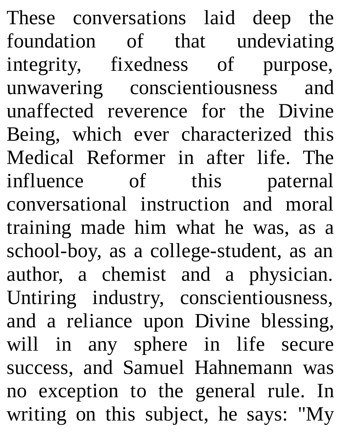These conversations laid deep the foundation of that undeviating integrity, fixedness of purpose, unwavering conscientiousness and unaffected reverence for the Divine Being, which ever characterized this Medical Reformer in after life. The influence of this paternal conversational instruction and moral training made him what he was, as a school-boy, as a college-student, as an author, a chemist and a physician. Untiring industry, conscientiousness, and a reliance upon Divine blessing, will in any sphere in life secure success, and Samuel Hahnemann was no exception to the general rule. In writing on this subject, he says: "My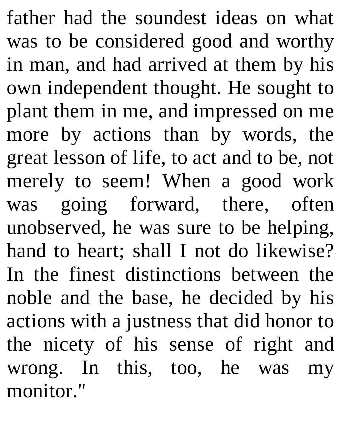father had the soundest ideas on what was to be considered good and worthy in man, and had arrived at them by his own independent thought. He sought to plant them in me, and impressed on me more by actions than by words, the great lesson of life, to act and to be, not merely to seem! When a good work was going forward, there, often unobserved, he was sure to be helping, hand to heart; shall I not do likewise? In the finest distinctions between the noble and the base, he decided by his actions with a justness that did honor to the nicety of his sense of right and wrong. In this, too, he was my monitor."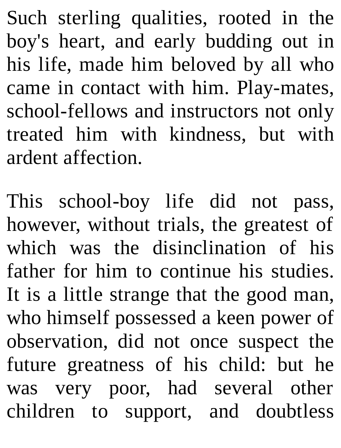Such sterling qualities, rooted in the boy's heart, and early budding out in his life, made him beloved by all who came in contact with him. Play-mates, school-fellows and instructors not only treated him with kindness, but with ardent affection.

This school-boy life did not pass, however, without trials, the greatest of which was the disinclination of his father for him to continue his studies. It is a little strange that the good man, who himself possessed a keen power of observation, did not once suspect the future greatness of his child: but he was very poor, had several other children to support, and doubtless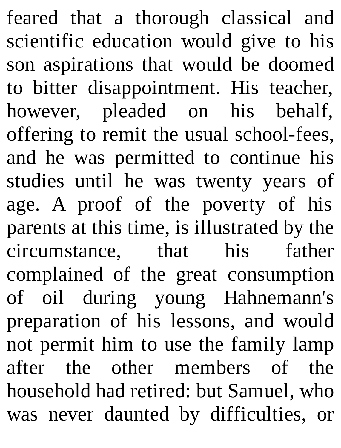feared that a thorough classical and scientific education would give to his son aspirations that would be doomed to bitter disappointment. His teacher, however, pleaded on his behalf, offering to remit the usual school-fees, and he was permitted to continue his studies until he was twenty years of age. A proof of the poverty of his parents at this time, is illustrated by the circumstance, that his father complained of the great consumption of oil during young Hahnemann's preparation of his lessons, and would not permit him to use the family lamp after the other members of the household had retired: but Samuel, who was never daunted by difficulties, or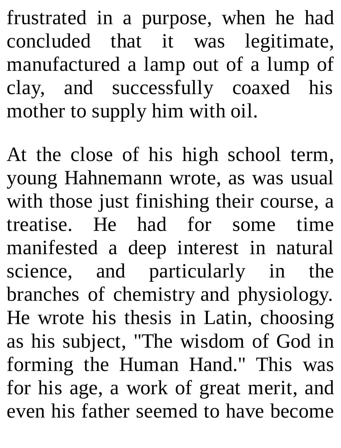frustrated in a purpose, when he had concluded that it was legitimate, manufactured a lamp out of a lump of clay, and successfully coaxed his mother to supply him with oil.

At the close of his high school term, young Hahnemann wrote, as was usual with those just finishing their course, a treatise. He had for some time manifested a deep interest in natural science, and particularly in the branches of chemistry and physiology. He wrote his thesis in Latin, choosing as his subject, "The wisdom of God in forming the Human Hand." This was for his age, a work of great merit, and even his father seemed to have become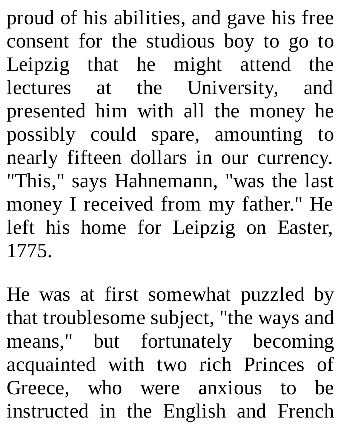proud of his abilities, and gave his free consent for the studious boy to go to Leipzig that he might attend the lectures at the University, and presented him with all the money he possibly could spare, amounting to nearly fifteen dollars in our currency. "This," says Hahnemann, "was the last money I received from my father." He left his home for Leipzig on Easter, 1775.

He was at first somewhat puzzled by that troublesome subject, "the ways and means," but fortunately becoming acquainted with two rich Princes of Greece, who were anxious to be instructed in the English and French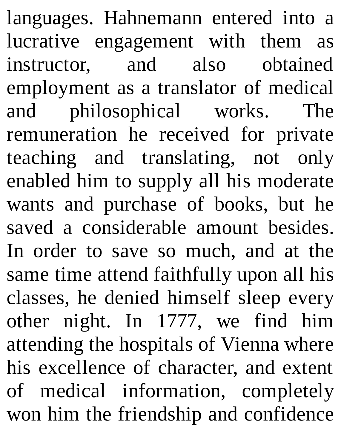languages. Hahnemann entered into a lucrative engagement with them as instructor, and also obtained employment as a translator of medical and philosophical works. The remuneration he received for private teaching and translating, not only enabled him to supply all his moderate wants and purchase of books, but he saved a considerable amount besides. In order to save so much, and at the same time attend faithfully upon all his classes, he denied himself sleep every other night. In 1777, we find him attending the hospitals of Vienna where his excellence of character, and extent of medical information, completely won him the friendship and confidence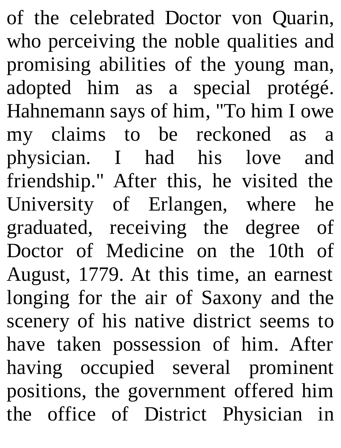of the celebrated Doctor von Quarin, who perceiving the noble qualities and promising abilities of the young man, adopted him as a special protégé. Hahnemann says of him, "To him I owe my claims to be reckoned as a physician. I had his love and friendship." After this, he visited the University of Erlangen, where he graduated, receiving the degree of Doctor of Medicine on the 10th of August, 1779. At this time, an earnest longing for the air of Saxony and the scenery of his native district seems to have taken possession of him. After having occupied several prominent positions, the government offered him the office of District Physician in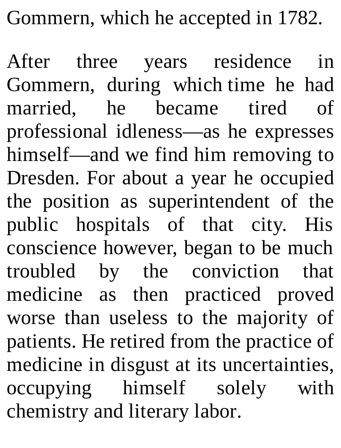Gommern, which he accepted in 1782.

After three years residence in Gommern, during which time he had married, he became tired of professional idleness—as he expresses himself—and we find him removing to Dresden. For about a year he occupied the position as superintendent of the public hospitals of that city. His conscience however, began to be much troubled by the conviction that medicine as then practiced proved worse than useless to the majority of patients. He retired from the practice of medicine in disgust at its uncertainties, occupying himself solely with chemistry and literary labor.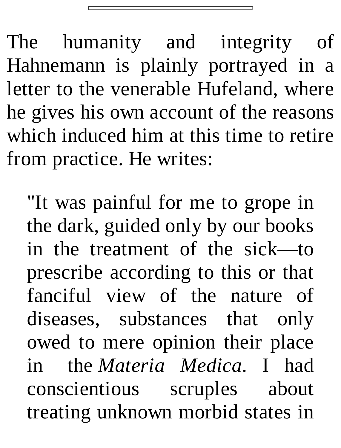The humanity and integrity of Hahnemann is plainly portrayed in a letter to the venerable Hufeland, where he gives his own account of the reasons which induced him at this time to retire from practice. He writes:

"It was painful for me to grope in the dark, guided only by our books in the treatment of the sick—to prescribe according to this or that fanciful view of the nature of diseases, substances that only owed to mere opinion their place in the *Materia Medica*. I had conscientious scruples about treating unknown morbid states in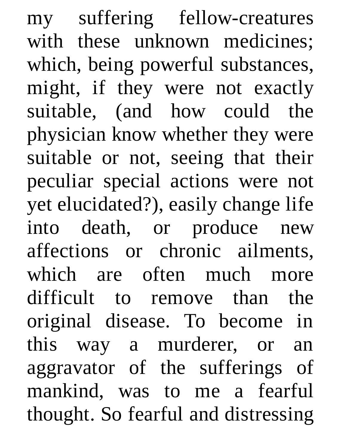my suffering fellow-creatures with these unknown medicines; which, being powerful substances, might, if they were not exactly suitable, (and how could the physician know whether they were suitable or not, seeing that their peculiar special actions were not yet elucidated?), easily change life into death, or produce new affections or chronic ailments, which are often much more difficult to remove than the original disease. To become in this way a murderer, or an aggravator of the sufferings of mankind, was to me a fearful thought. So fearful and distressing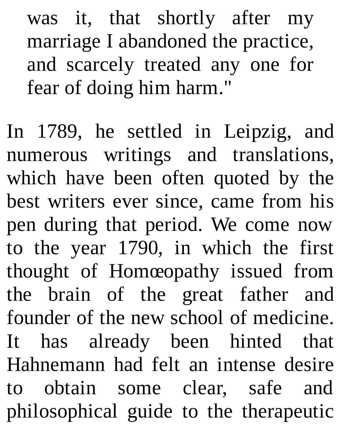was it, that shortly after my marriage I abandoned the practice, and scarcely treated any one for fear of doing him harm."

In 1789, he settled in Leipzig, and numerous writings and translations, which have been often quoted by the best writers ever since, came from his pen during that period. We come now to the year 1790, in which the first thought of Homœopathy issued from the brain of the great father and founder of the new school of medicine. It has already been hinted that Hahnemann had felt an intense desire to obtain some clear, safe and philosophical guide to the therapeutic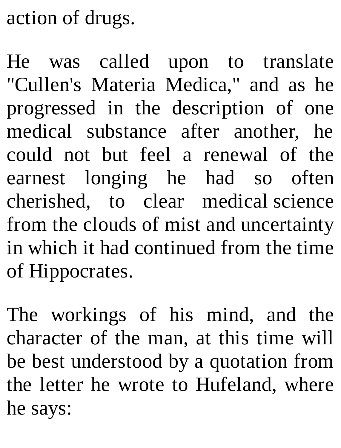action of drugs.

He was called upon to translate "Cullen's Materia Medica," and as he progressed in the description of one medical substance after another, he could not but feel a renewal of the earnest longing he had so often cherished, to clear medical science from the clouds of mist and uncertainty in which it had continued from the time of Hippocrates.

The workings of his mind, and the character of the man, at this time will be best understood by a quotation from the letter he wrote to Hufeland, where he says: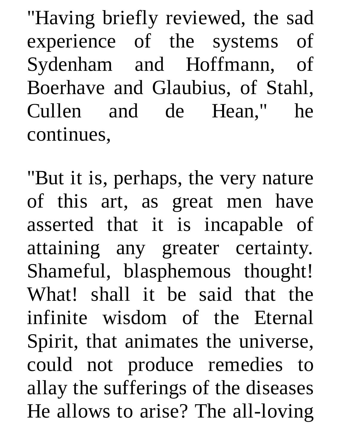"Having briefly reviewed, the sad experience of the systems of Sydenham and Hoffmann, of Boerhave and Glaubius, of Stahl, Cullen and de Hean," he continues,

"But it is, perhaps, the very nature of this art, as great men have asserted that it is incapable of attaining any greater certainty. Shameful, blasphemous thought! What! shall it be said that the infinite wisdom of the Eternal Spirit, that animates the universe, could not produce remedies to allay the sufferings of the diseases He allows to arise? The all-loving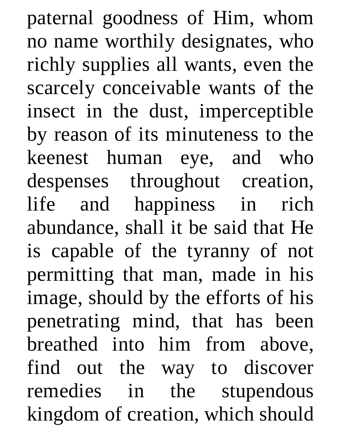paternal goodness of Him, whom no name worthily designates, who richly supplies all wants, even the scarcely conceivable wants of the insect in the dust, imperceptible by reason of its minuteness to the keenest human eye, and who despenses throughout creation, life and happiness in rich abundance, shall it be said that He is capable of the tyranny of not permitting that man, made in his image, should by the efforts of his penetrating mind, that has been breathed into him from above, find out the way to discover remedies in the stupendous kingdom of creation, which should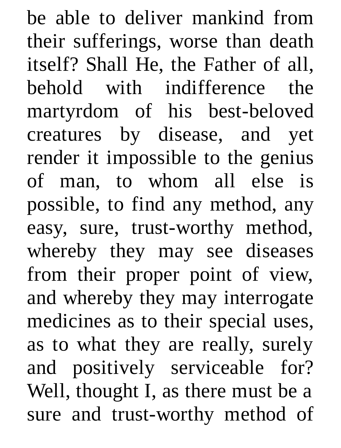be able to deliver mankind from their sufferings, worse than death itself? Shall He, the Father of all, behold with indifference the martyrdom of his best-beloved creatures by disease, and yet render it impossible to the genius of man, to whom all else is possible, to find any method, any easy, sure, trust-worthy method, whereby they may see diseases from their proper point of view, and whereby they may interrogate medicines as to their special uses, as to what they are really, surely and positively serviceable for? Well, thought I, as there must be a sure and trust-worthy method of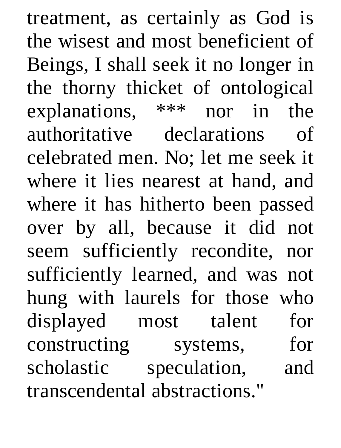treatment, as certainly as God is the wisest and most beneficient of Beings, I shall seek it no longer in the thorny thicket of ontological explanations, \*\*\* nor in the authoritative declarations of celebrated men. No; let me seek it where it lies nearest at hand, and where it has hitherto been passed over by all, because it did not seem sufficiently recondite, nor sufficiently learned, and was not hung with laurels for those who displayed most talent for constructing systems, for scholastic speculation, and transcendental abstractions."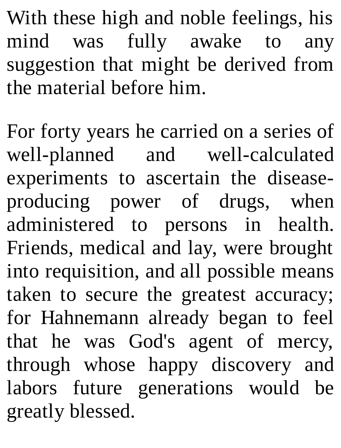With these high and noble feelings, his mind was fully awake to any suggestion that might be derived from the material before him.

For forty years he carried on a series of well-planned and well-calculated experiments to ascertain the diseaseproducing power of drugs, when administered to persons in health. Friends, medical and lay, were brought into requisition, and all possible means taken to secure the greatest accuracy; for Hahnemann already began to feel that he was God's agent of mercy, through whose happy discovery and labors future generations would be greatly blessed.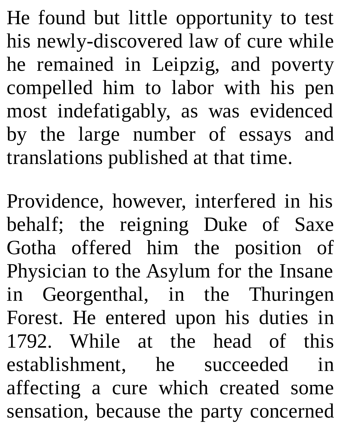He found but little opportunity to test his newly-discovered law of cure while he remained in Leipzig, and poverty compelled him to labor with his pen most indefatigably, as was evidenced by the large number of essays and translations published at that time.

Providence, however, interfered in his behalf; the reigning Duke of Saxe Gotha offered him the position of Physician to the Asylum for the Insane in Georgenthal, in the Thuringen Forest. He entered upon his duties in 1792. While at the head of this establishment, he succeeded in affecting a cure which created some sensation, because the party concerned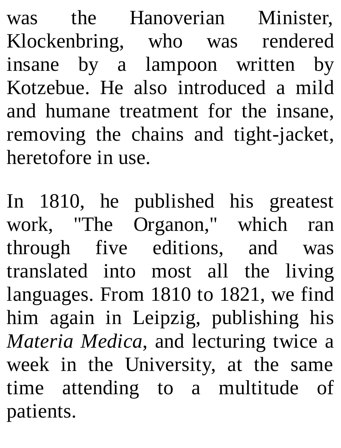was the Hanoverian Minister, Klockenbring, who was rendered insane by a lampoon written by Kotzebue. He also introduced a mild and humane treatment for the insane, removing the chains and tight-jacket, heretofore in use.

In 1810, he published his greatest work, "The Organon," which ran through five editions, and was translated into most all the living languages. From 1810 to 1821, we find him again in Leipzig, publishing his *Materia Medica*, and lecturing twice a week in the University, at the same time attending to a multitude of patients.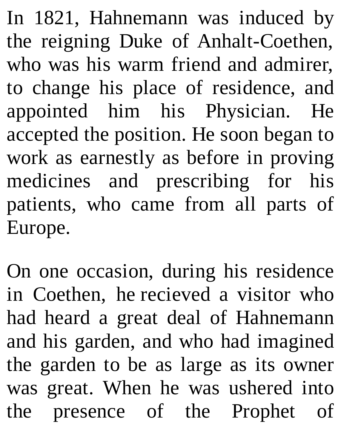In 1821, Hahnemann was induced by the reigning Duke of Anhalt-Coethen, who was his warm friend and admirer, to change his place of residence, and appointed him his Physician. He accepted the position. He soon began to work as earnestly as before in proving medicines and prescribing for his patients, who came from all parts of Europe.

On one occasion, during his residence in Coethen, he recieved a visitor who had heard a great deal of Hahnemann and his garden, and who had imagined the garden to be as large as its owner was great. When he was ushered into the presence of the Prophet of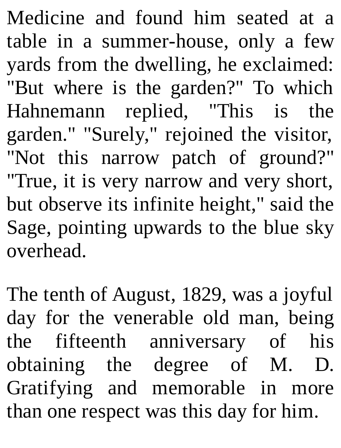Medicine and found him seated at a table in a summer-house, only a few yards from the dwelling, he exclaimed: "But where is the garden?" To which Hahnemann replied, "This is the garden." "Surely," rejoined the visitor, "Not this narrow patch of ground?" "True, it is very narrow and very short, but observe its infinite height," said the Sage, pointing upwards to the blue sky overhead.

The tenth of August, 1829, was a joyful day for the venerable old man, being the fifteenth anniversary of his obtaining the degree of M. D. Gratifying and memorable in more than one respect was this day for him.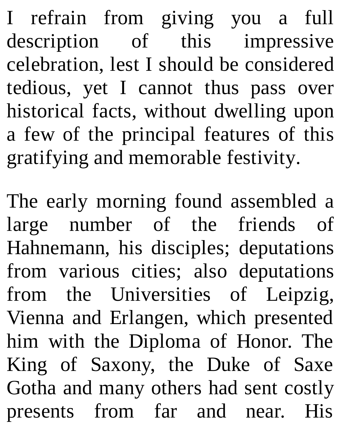I refrain from giving you a full description of this impressive celebration, lest I should be considered tedious, yet I cannot thus pass over historical facts, without dwelling upon a few of the principal features of this gratifying and memorable festivity.

The early morning found assembled a large number of the friends of Hahnemann, his disciples; deputations from various cities; also deputations from the Universities of Leipzig, Vienna and Erlangen, which presented him with the Diploma of Honor. The King of Saxony, the Duke of Saxe Gotha and many others had sent costly presents from far and near. His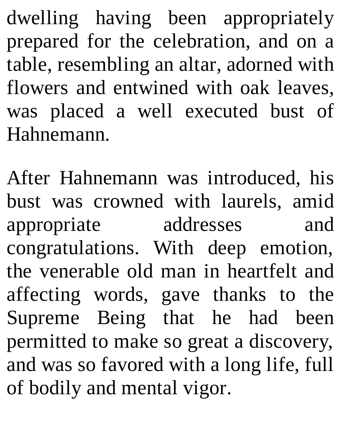dwelling having been appropriately prepared for the celebration, and on a table, resembling an altar, adorned with flowers and entwined with oak leaves, was placed a well executed bust of Hahnemann.

After Hahnemann was introduced, his bust was crowned with laurels, amid appropriate addresses and congratulations. With deep emotion, the venerable old man in heartfelt and affecting words, gave thanks to the Supreme Being that he had been permitted to make so great a discovery, and was so favored with a long life, full of bodily and mental vigor.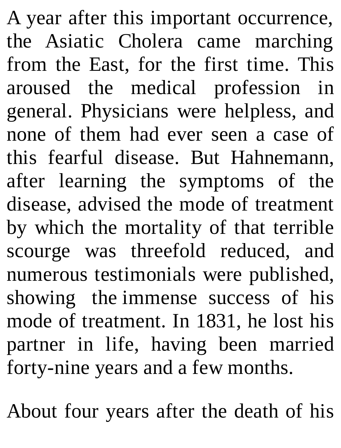A year after this important occurrence, the Asiatic Cholera came marching from the East, for the first time. This aroused the medical profession in general. Physicians were helpless, and none of them had ever seen a case of this fearful disease. But Hahnemann, after learning the symptoms of the disease, advised the mode of treatment by which the mortality of that terrible scourge was threefold reduced, and numerous testimonials were published, showing the immense success of his mode of treatment. In 1831, he lost his partner in life, having been married forty-nine years and a few months.

About four years after the death of his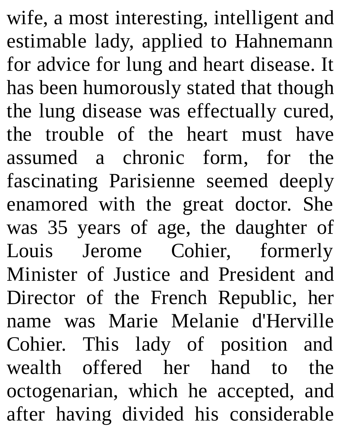wife, a most interesting, intelligent and estimable lady, applied to Hahnemann for advice for lung and heart disease. It has been humorously stated that though the lung disease was effectually cured, the trouble of the heart must have assumed a chronic form, for the fascinating Parisienne seemed deeply enamored with the great doctor. She was 35 years of age, the daughter of Louis Jerome Cohier, formerly Minister of Justice and President and Director of the French Republic, her name was Marie Melanie d'Herville Cohier. This lady of position and wealth offered her hand to the octogenarian, which he accepted, and after having divided his considerable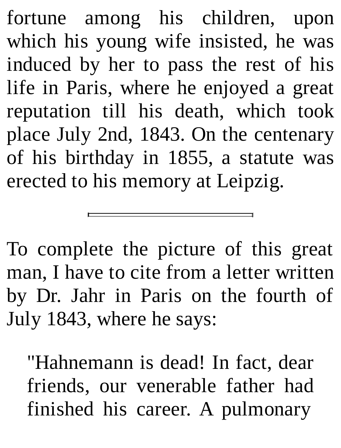fortune among his children, upon which his young wife insisted, he was induced by her to pass the rest of his life in Paris, where he enjoyed a great reputation till his death, which took place July 2nd, 1843. On the centenary of his birthday in 1855, a statute was erected to his memory at Leipzig.

To complete the picture of this great man, I have to cite from a letter written by Dr. Jahr in Paris on the fourth of July 1843, where he says:

"Hahnemann is dead! In fact, dear friends, our venerable father had finished his career. A pulmonary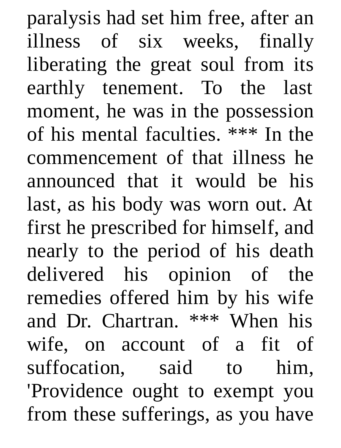paralysis had set him free, after an illness of six weeks, finally liberating the great soul from its earthly tenement. To the last moment, he was in the possession of his mental faculties. \*\*\* In the commencement of that illness he announced that it would be his last, as his body was worn out. At first he prescribed for himself, and nearly to the period of his death delivered his opinion of the remedies offered him by his wife and Dr. Chartran. \*\*\* When his wife, on account of a fit of suffocation, said to him, 'Providence ought to exempt you from these sufferings, as you have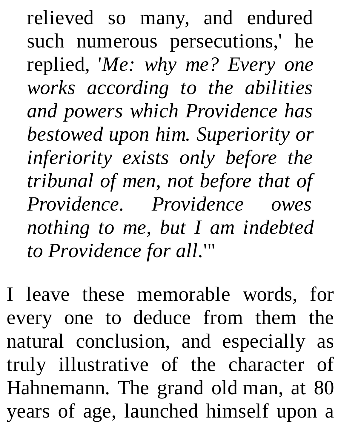relieved so many, and endured such numerous persecutions,' he replied, '*Me: why me? Every one works according to the abilities and powers which Providence has bestowed upon him. Superiority or inferiority exists only before the tribunal of men, not before that of Providence. Providence owes nothing to me, but I am indebted to Providence for all.*'"

I leave these memorable words, for every one to deduce from them the natural conclusion, and especially as truly illustrative of the character of Hahnemann. The grand old man, at 80 years of age, launched himself upon a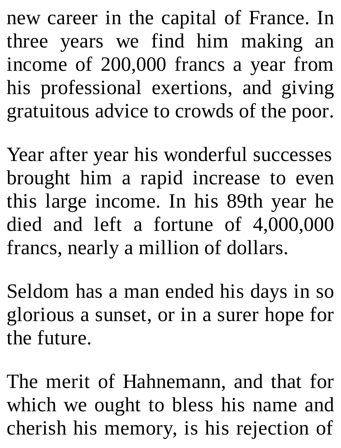new career in the capital of France. In three years we find him making an income of 200,000 francs a year from his professional exertions, and giving gratuitous advice to crowds of the poor.

Year after year his wonderful successes brought him a rapid increase to even this large income. In his 89th year he died and left a fortune of 4,000,000 francs, nearly a million of dollars.

Seldom has a man ended his days in so glorious a sunset, or in a surer hope for the future.

The merit of Hahnemann, and that for which we ought to bless his name and cherish his memory, is his rejection of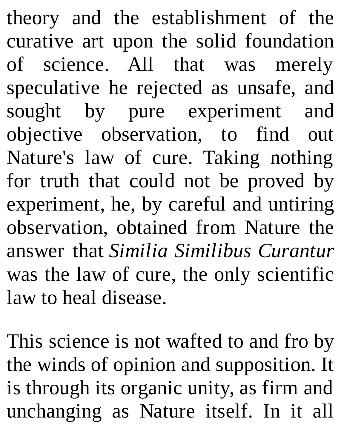theory and the establishment of the curative art upon the solid foundation of science. All that was merely speculative he rejected as unsafe, and sought by pure experiment and objective observation, to find out Nature's law of cure. Taking nothing for truth that could not be proved by experiment, he, by careful and untiring observation, obtained from Nature the answer that *Similia Similibus Curantur* was the law of cure, the only scientific law to heal disease.

This science is not wafted to and fro by the winds of opinion and supposition. It is through its organic unity, as firm and unchanging as Nature itself. In it all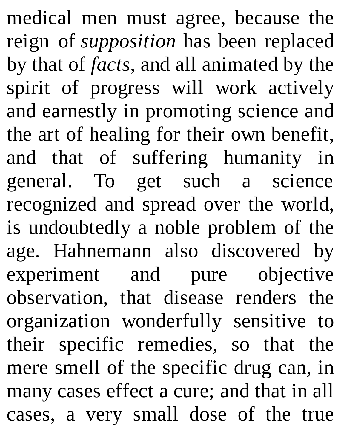medical men must agree, because the reign of *supposition* has been replaced by that of *facts*, and all animated by the spirit of progress will work actively and earnestly in promoting science and the art of healing for their own benefit, and that of suffering humanity in general. To get such a science recognized and spread over the world, is undoubtedly a noble problem of the age. Hahnemann also discovered by experiment and pure objective observation, that disease renders the organization wonderfully sensitive to their specific remedies, so that the mere smell of the specific drug can, in many cases effect a cure; and that in all cases, a very small dose of the true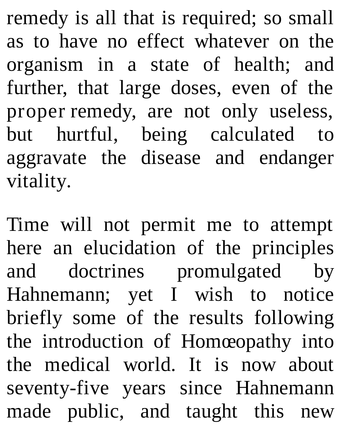remedy is all that is required; so small as to have no effect whatever on the organism in a state of health; and further, that large doses, even of the proper remedy, are not only useless, but hurtful, being calculated to aggravate the disease and endanger vitality.

Time will not permit me to attempt here an elucidation of the principles and doctrines promulgated by Hahnemann; yet I wish to notice briefly some of the results following the introduction of Homœopathy into the medical world. It is now about seventy-five years since Hahnemann made public, and taught this new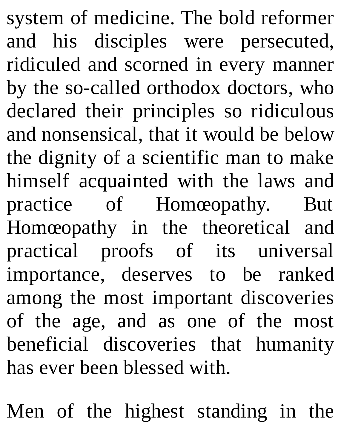system of medicine. The bold reformer and his disciples were persecuted, ridiculed and scorned in every manner by the so-called orthodox doctors, who declared their principles so ridiculous and nonsensical, that it would be below the dignity of a scientific man to make himself acquainted with the laws and practice of Homœopathy. But Homœopathy in the theoretical and practical proofs of its universal importance, deserves to be ranked among the most important discoveries of the age, and as one of the most beneficial discoveries that humanity has ever been blessed with.

Men of the highest standing in the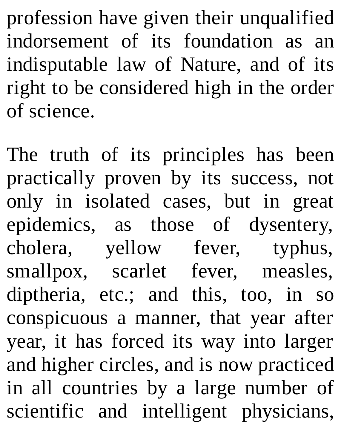profession have given their unqualified indorsement of its foundation as an indisputable law of Nature, and of its right to be considered high in the order of science.

The truth of its principles has been practically proven by its success, not only in isolated cases, but in great epidemics, as those of dysentery, cholera, yellow fever, typhus, smallpox, scarlet fever, measles, diptheria, etc.; and this, too, in so conspicuous a manner, that year after year, it has forced its way into larger and higher circles, and is now practiced in all countries by a large number of scientific and intelligent physicians,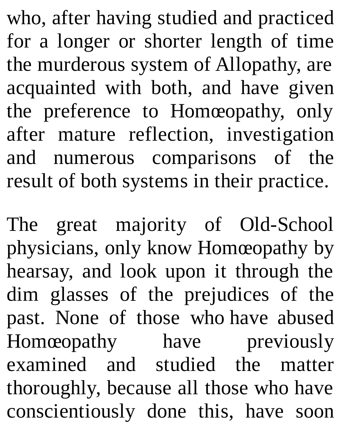who, after having studied and practiced for a longer or shorter length of time the murderous system of Allopathy, are acquainted with both, and have given the preference to Homœopathy, only after mature reflection, investigation and numerous comparisons of the result of both systems in their practice.

The great majority of Old-School physicians, only know Homœopathy by hearsay, and look upon it through the dim glasses of the prejudices of the past. None of those who have abused Homœopathy have previously examined and studied the matter thoroughly, because all those who have conscientiously done this, have soon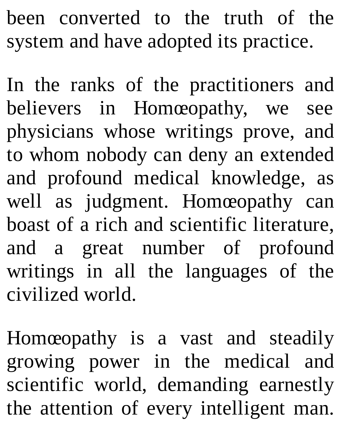been converted to the truth of the system and have adopted its practice.

In the ranks of the practitioners and believers in Homœopathy, we see physicians whose writings prove, and to whom nobody can deny an extended and profound medical knowledge, as well as judgment. Homœopathy can boast of a rich and scientific literature, and a great number of profound writings in all the languages of the civilized world.

Homœopathy is a vast and steadily growing power in the medical and scientific world, demanding earnestly the attention of every intelligent man.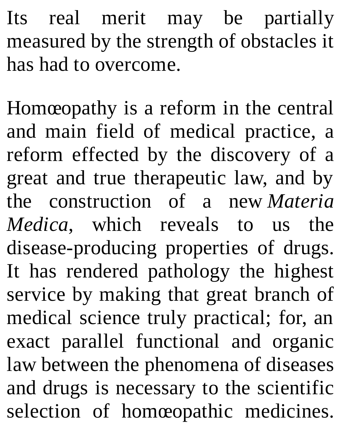Its real merit may be partially measured by the strength of obstacles it has had to overcome.

Homœopathy is a reform in the central and main field of medical practice, a reform effected by the discovery of a great and true therapeutic law, and by the construction of a new *Materia Medica*, which reveals to us the disease-producing properties of drugs. It has rendered pathology the highest service by making that great branch of medical science truly practical; for, an exact parallel functional and organic law between the phenomena of diseases and drugs is necessary to the scientific selection of homœopathic medicines.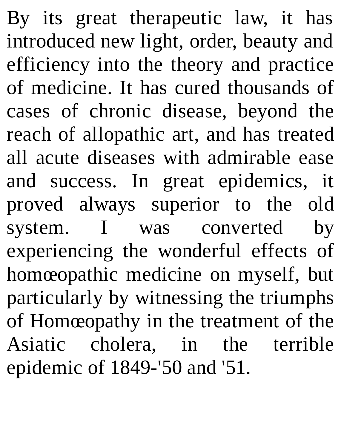By its great therapeutic law, it has introduced new light, order, beauty and efficiency into the theory and practice of medicine. It has cured thousands of cases of chronic disease, beyond the reach of allopathic art, and has treated all acute diseases with admirable ease and success. In great epidemics, it proved always superior to the old system. I was converted by experiencing the wonderful effects of homœopathic medicine on myself, but particularly by witnessing the triumphs of Homœopathy in the treatment of the Asiatic cholera, in the terrible epidemic of 1849-'50 and '51.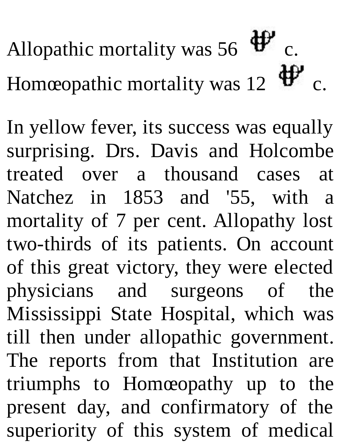Allopathic mortality was 56  $\mathbf{\Psi}$  c. Homœopathic mortality was 12  $\mathbf{\ddot{\theta}}^{\prime\prime}$  c.

In yellow fever, its success was equally surprising. Drs. Davis and Holcombe treated over a thousand cases at Natchez in 1853 and '55, with a mortality of 7 per cent. Allopathy lost two-thirds of its patients. On account of this great victory, they were elected physicians and surgeons of the Mississippi State Hospital, which was till then under allopathic government. The reports from that Institution are triumphs to Homœopathy up to the present day, and confirmatory of the superiority of this system of medical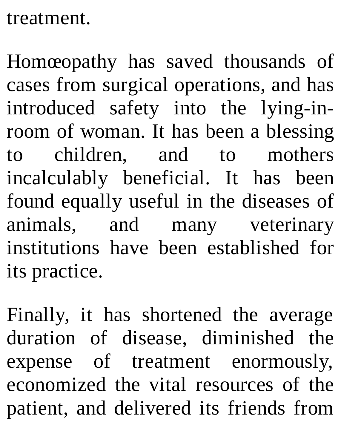## treatment.

Homœopathy has saved thousands of cases from surgical operations, and has introduced safety into the lying-inroom of woman. It has been a blessing to children, and to mothers incalculably beneficial. It has been found equally useful in the diseases of animals, and many veterinary institutions have been established for its practice.

Finally, it has shortened the average duration of disease, diminished the expense of treatment enormously, economized the vital resources of the patient, and delivered its friends from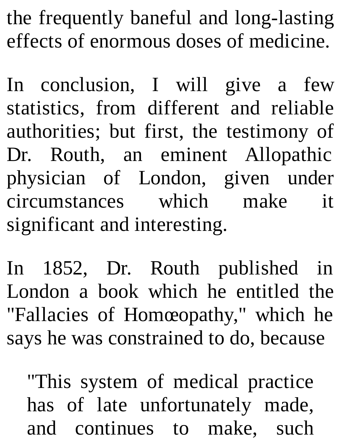the frequently baneful and long-lasting effects of enormous doses of medicine.

In conclusion, I will give a few statistics, from different and reliable authorities; but first, the testimony of Dr. Routh, an eminent Allopathic physician of London, given under circumstances which make it significant and interesting.

In 1852, Dr. Routh published in London a book which he entitled the "Fallacies of Homœopathy," which he says he was constrained to do, because

"This system of medical practice has of late unfortunately made, and continues to make, such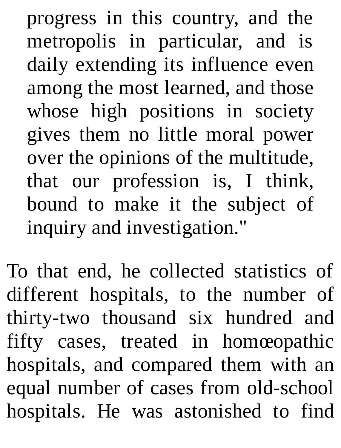progress in this country, and the metropolis in particular, and is daily extending its influence even among the most learned, and those whose high positions in society gives them no little moral power over the opinions of the multitude, that our profession is, I think, bound to make it the subject of inquiry and investigation."

To that end, he collected statistics of different hospitals, to the number of thirty-two thousand six hundred and fifty cases, treated in homœopathic hospitals, and compared them with an equal number of cases from old-school hospitals. He was astonished to find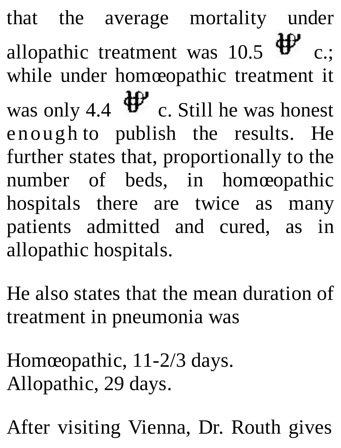that the average mortality under allopathic treatment was 10.5  $\mathbf{\hat{\Psi}}$  c.: while under homœopathic treatment it was only 4.4  $\mathbf{\ddot{\Psi}}$  c. Still he was honest enough to publish the results. He further states that, proportionally to the number of beds, in homœopathic hospitals there are twice as many patients admitted and cured, as in allopathic hospitals.

He also states that the mean duration of treatment in pneumonia was

Homœopathic, 11-2/3 days. Allopathic, 29 days.

After visiting Vienna, Dr. Routh gives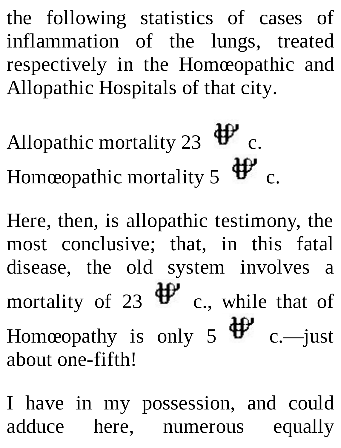the following statistics of cases of inflammation of the lungs, treated respectively in the Homœopathic and Allopathic Hospitals of that city.

Allopathic mortality 23  $\mathbf{\ddot{\theta}}^{\prime\prime}$  c. Homœopathic mortality 5  $\mathbf{\Psi}$  c.

Here, then, is allopathic testimony, the most conclusive; that, in this fatal disease, the old system involves a mortality of 23  $\mathbf{\ddot{\theta}}$  c., while that of Homœopathy is only 5  $\mathbf{\hat{\Psi}}$  c. —just

about one-fifth!

I have in my possession, and could adduce here, numerous equally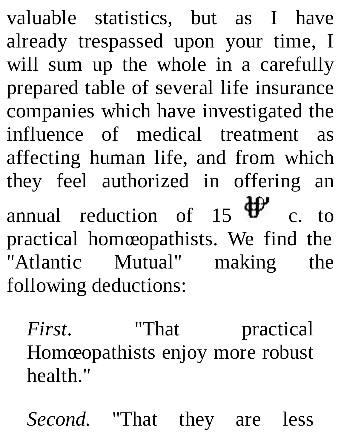valuable statistics, but as I have already trespassed upon your time, I will sum up the whole in a carefully prepared table of several life insurance companies which have investigated the influence of medical treatment as affecting human life, and from which they feel authorized in offering an annual reduction of 15  $\mathbf{\hat{\Psi}}$  c. to practical homœopathists. We find the "Atlantic Mutual" making the following deductions:

*First.* "That practical Homœopathists enjoy more robust health."

*Second.* "That they are less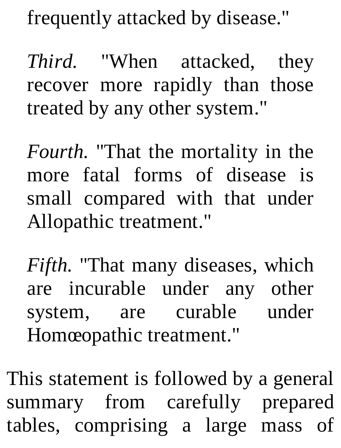frequently attacked by disease."

*Third.* "When attacked, they recover more rapidly than those treated by any other system."

*Fourth.* "That the mortality in the more fatal forms of disease is small compared with that under Allopathic treatment."

*Fifth.* "That many diseases, which are incurable under any other system, are curable under Homœopathic treatment."

This statement is followed by a general summary from carefully prepared tables, comprising a large mass of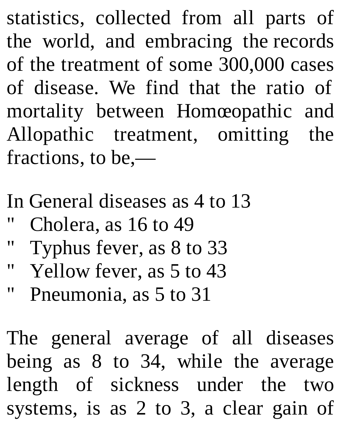statistics, collected from all parts of the world, and embracing the records of the treatment of some 300,000 cases of disease. We find that the ratio of mortality between Homœopathic and Allopathic treatment, omitting the fractions, to be,—

- In General diseases as 4 to 13
- Cholera, as 16 to 49
- " Typhus fever, as 8 to 33
- " Yellow fever, as 5 to 43
- " Pneumonia, as 5 to 31

The general average of all diseases being as 8 to 34, while the average length of sickness under the two systems, is as 2 to 3, a clear gain of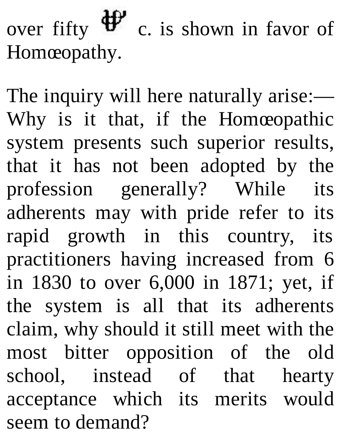over fifty  $\mathbf{\Psi}$  c. is shown in favor of Homœopathy.

The inquiry will here naturally arise:— Why is it that, if the Homœopathic system presents such superior results, that it has not been adopted by the profession generally? While its adherents may with pride refer to its rapid growth in this country, its practitioners having increased from 6 in 1830 to over 6,000 in 1871; yet, if the system is all that its adherents claim, why should it still meet with the most bitter opposition of the old school, instead of that hearty acceptance which its merits would seem to demand?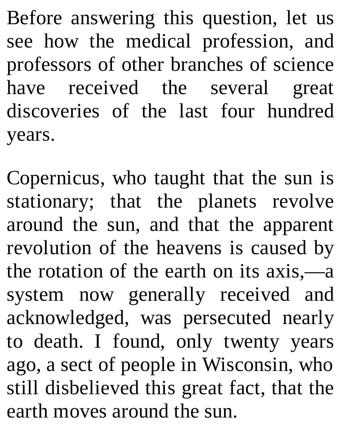Before answering this question, let us see how the medical profession, and professors of other branches of science have received the several great discoveries of the last four hundred years.

Copernicus, who taught that the sun is stationary; that the planets revolve around the sun, and that the apparent revolution of the heavens is caused by the rotation of the earth on its axis,—a system now generally received and acknowledged, was persecuted nearly to death. I found, only twenty years ago, a sect of people in Wisconsin, who still disbelieved this great fact, that the earth moves around the sun.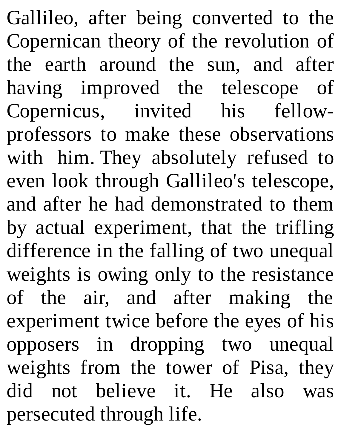Gallileo, after being converted to the Copernican theory of the revolution of the earth around the sun, and after having improved the telescope of Copernicus, invited his fellowprofessors to make these observations with him. They absolutely refused to even look through Gallileo's telescope, and after he had demonstrated to them by actual experiment, that the trifling difference in the falling of two unequal weights is owing only to the resistance of the air, and after making the experiment twice before the eyes of his opposers in dropping two unequal weights from the tower of Pisa, they did not believe it. He also was persecuted through life.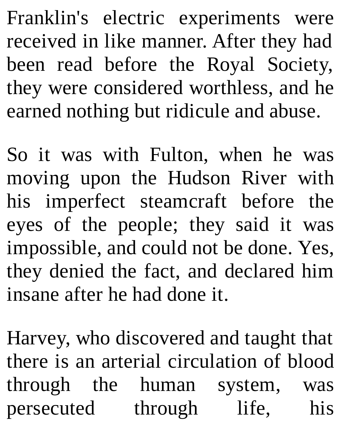Franklin's electric experiments were received in like manner. After they had been read before the Royal Society, they were considered worthless, and he earned nothing but ridicule and abuse.

So it was with Fulton, when he was moving upon the Hudson River with his imperfect steamcraft before the eyes of the people; they said it was impossible, and could not be done. Yes, they denied the fact, and declared him insane after he had done it.

Harvey, who discovered and taught that there is an arterial circulation of blood through the human system, was persecuted through life, his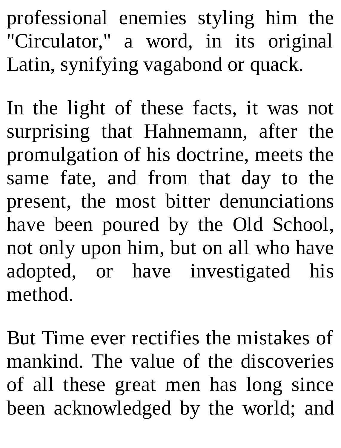professional enemies styling him the "Circulator," a word, in its original Latin, synifying vagabond or quack.

In the light of these facts, it was not surprising that Hahnemann, after the promulgation of his doctrine, meets the same fate, and from that day to the present, the most bitter denunciations have been poured by the Old School, not only upon him, but on all who have adopted, or have investigated his method.

But Time ever rectifies the mistakes of mankind. The value of the discoveries of all these great men has long since been acknowledged by the world; and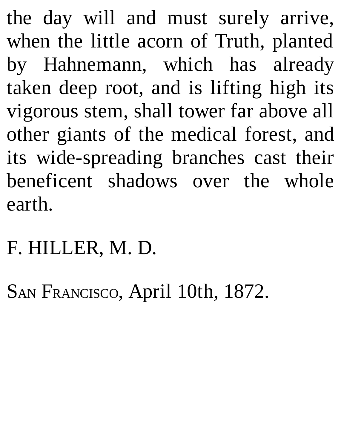the day will and must surely arrive, when the little acorn of Truth, planted by Hahnemann, which has already taken deep root, and is lifting high its vigorous stem, shall tower far above all other giants of the medical forest, and its wide-spreading branches cast their beneficent shadows over the whole earth.

## F. HILLER, M. D.

SAN FRANCISCO, April 10th, 1872.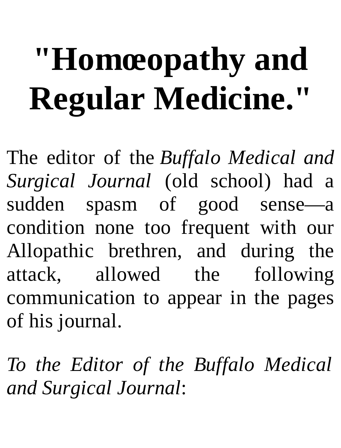## **"Homœopathy and Regular Medicine."**

The editor of the *Buffalo Medical and Surgical Journal* (old school) had a sudden spasm of good sense—a condition none too frequent with our Allopathic brethren, and during the attack, allowed the following communication to appear in the pages of his journal.

*To the Editor of the Buffalo Medical and Surgical Journal*: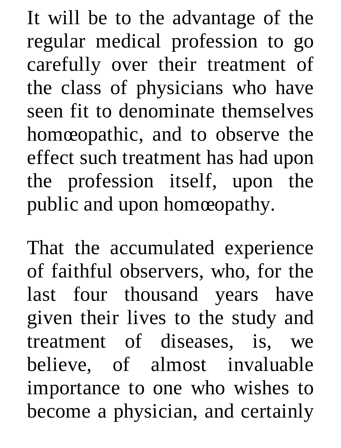It will be to the advantage of the regular medical profession to go carefully over their treatment of the class of physicians who have seen fit to denominate themselves homœopathic, and to observe the effect such treatment has had upon the profession itself, upon the public and upon homœopathy.

That the accumulated experience of faithful observers, who, for the last four thousand years have given their lives to the study and treatment of diseases, is, we believe, of almost invaluable importance to one who wishes to become a physician, and certainly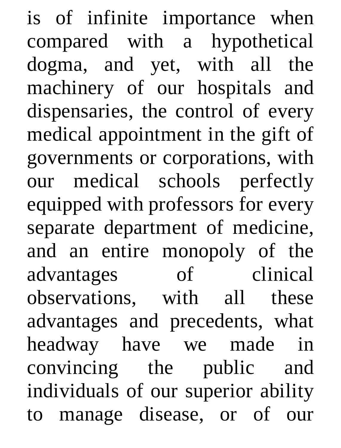is of infinite importance when compared with a hypothetical dogma, and yet, with all the machinery of our hospitals and dispensaries, the control of every medical appointment in the gift of governments or corporations, with our medical schools perfectly equipped with professors for every separate department of medicine, and an entire monopoly of the advantages of clinical observations, with all these advantages and precedents, what headway have we made in convincing the public and individuals of our superior ability to manage disease, or of our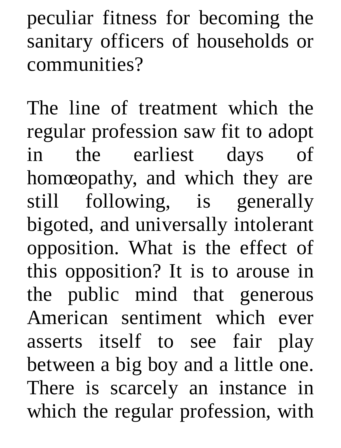peculiar fitness for becoming the sanitary officers of households or communities?

The line of treatment which the regular profession saw fit to adopt in the earliest days of homœopathy, and which they are still following, is generally bigoted, and universally intolerant opposition. What is the effect of this opposition? It is to arouse in the public mind that generous American sentiment which ever asserts itself to see fair play between a big boy and a little one. There is scarcely an instance in which the regular profession, with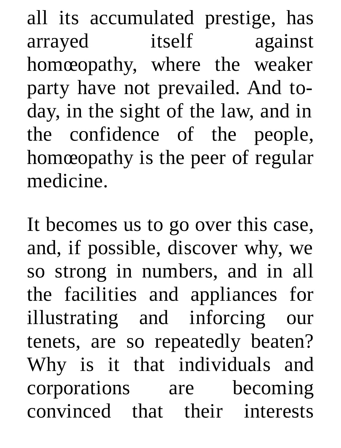all its accumulated prestige, has arrayed itself against homœopathy, where the weaker party have not prevailed. And today, in the sight of the law, and in the confidence of the people, homœopathy is the peer of regular medicine.

It becomes us to go over this case, and, if possible, discover why, we so strong in numbers, and in all the facilities and appliances for illustrating and inforcing our tenets, are so repeatedly beaten? Why is it that individuals and corporations are becoming convinced that their interests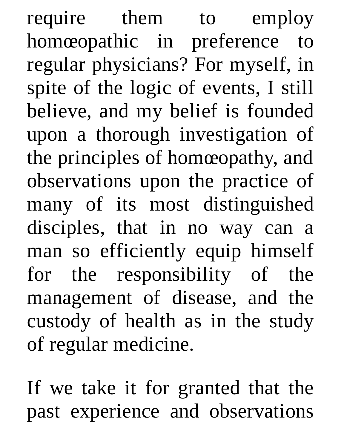require them to employ homœopathic in preference to regular physicians? For myself, in spite of the logic of events, I still believe, and my belief is founded upon a thorough investigation of the principles of homœopathy, and observations upon the practice of many of its most distinguished disciples, that in no way can a man so efficiently equip himself for the responsibility of the management of disease, and the custody of health as in the study of regular medicine.

If we take it for granted that the past experience and observations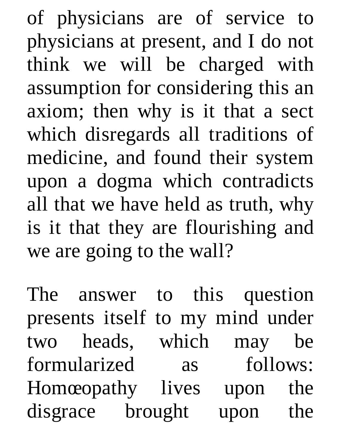of physicians are of service to physicians at present, and I do not think we will be charged with assumption for considering this an axiom; then why is it that a sect which disregards all traditions of medicine, and found their system upon a dogma which contradicts all that we have held as truth, why is it that they are flourishing and we are going to the wall?

The answer to this question presents itself to my mind under two heads, which may be formularized as follows: Homœopathy lives upon the disgrace brought upon the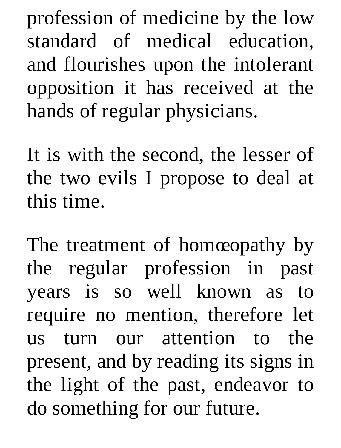profession of medicine by the low standard of medical education, and flourishes upon the intolerant opposition it has received at the hands of regular physicians.

It is with the second, the lesser of the two evils I propose to deal at this time.

The treatment of homœopathy by the regular profession in past years is so well known as to require no mention, therefore let us turn our attention to the present, and by reading its signs in the light of the past, endeavor to do something for our future.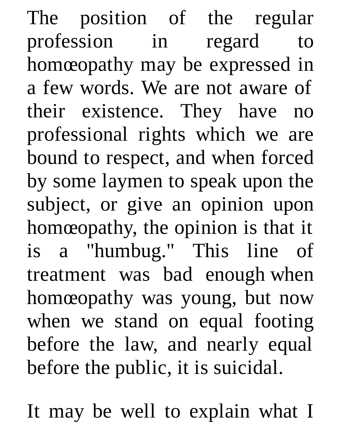The position of the regular profession in regard to homœopathy may be expressed in a few words. We are not aware of their existence. They have no professional rights which we are bound to respect, and when forced by some laymen to speak upon the subject, or give an opinion upon homœopathy, the opinion is that it is a "humbug." This line of treatment was bad enough when homœopathy was young, but now when we stand on equal footing before the law, and nearly equal before the public, it is suicidal.

It may be well to explain what I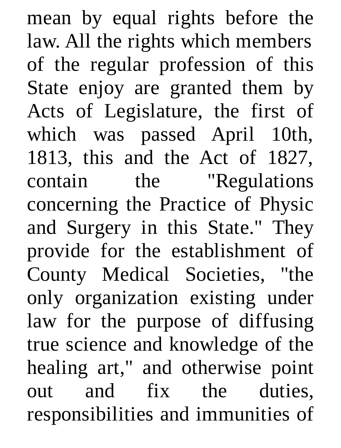mean by equal rights before the law. All the rights which members of the regular profession of this State enjoy are granted them by Acts of Legislature, the first of which was passed April 10th, 1813, this and the Act of 1827, contain the "Regulations concerning the Practice of Physic and Surgery in this State." They provide for the establishment of County Medical Societies, "the only organization existing under law for the purpose of diffusing true science and knowledge of the healing art," and otherwise point out and fix the duties, responsibilities and immunities of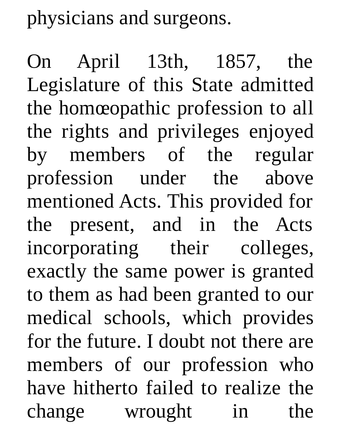physicians and surgeons.

On April 13th, 1857, the Legislature of this State admitted the homœopathic profession to all the rights and privileges enjoyed by members of the regular profession under the above mentioned Acts. This provided for the present, and in the Acts incorporating their colleges, exactly the same power is granted to them as had been granted to our medical schools, which provides for the future. I doubt not there are members of our profession who have hitherto failed to realize the change wrought in the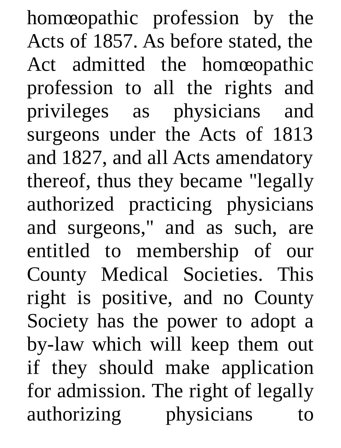homœopathic profession by the Acts of 1857. As before stated, the Act admitted the homœopathic profession to all the rights and privileges as physicians and surgeons under the Acts of 1813 and 1827, and all Acts amendatory thereof, thus they became "legally authorized practicing physicians and surgeons," and as such, are entitled to membership of our County Medical Societies. This right is positive, and no County Society has the power to adopt a by-law which will keep them out if they should make application for admission. The right of legally authorizing physicians to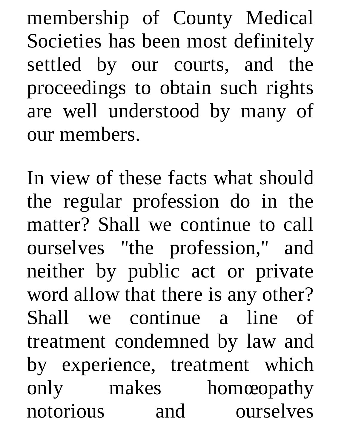membership of County Medical Societies has been most definitely settled by our courts, and the proceedings to obtain such rights are well understood by many of our members.

In view of these facts what should the regular profession do in the matter? Shall we continue to call ourselves "the profession," and neither by public act or private word allow that there is any other? Shall we continue a line of treatment condemned by law and by experience, treatment which only makes homœopathy notorious and ourselves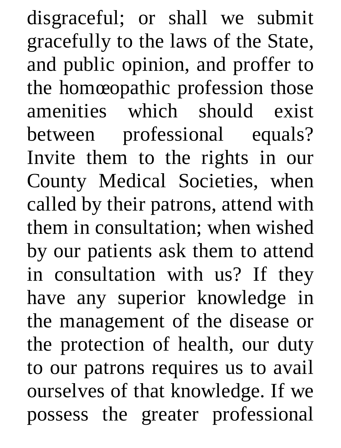disgraceful; or shall we submit gracefully to the laws of the State, and public opinion, and proffer to the homœopathic profession those amenities which should exist between professional equals? Invite them to the rights in our County Medical Societies, when called by their patrons, attend with them in consultation; when wished by our patients ask them to attend in consultation with us? If they have any superior knowledge in the management of the disease or the protection of health, our duty to our patrons requires us to avail ourselves of that knowledge. If we possess the greater professional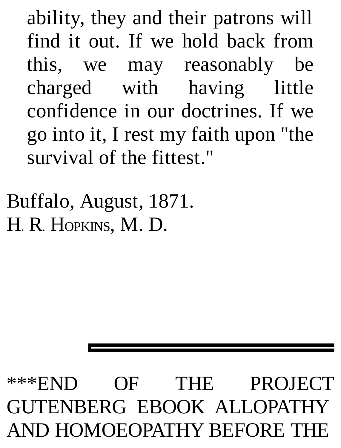ability, they and their patrons will find it out. If we hold back from this, we may reasonably be charged with having little confidence in our doctrines. If we go into it, I rest my faith upon "the survival of the fittest."

Buffalo, August, 1871. H. R. HOPKINS, M. D.

\*\*\*END OF THE PROJECT GUTENBERG EBOOK ALLOPATHY AND HOMOEOPATHY BEFORE THE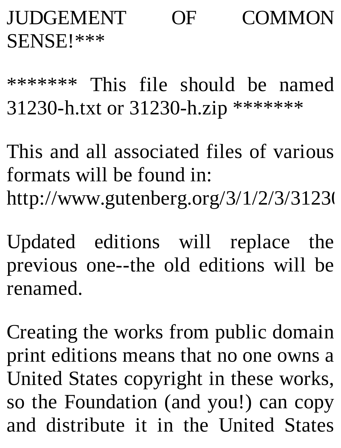## JUDGEMENT OF COMMON SENSE!\*\*\*

\*\*\*\*\*\*\* This file should be named 31230-h.txt or 31230-h.zip \*\*\*\*\*\*\*

This and all associated files of various formats will be found in: http://www.gutenberg.org/3/1/2/3/31230

Updated editions will replace the previous one--the old editions will be renamed.

Creating the works from public domain print editions means that no one owns a United States copyright in these works, so the Foundation (and you!) can copy and distribute it in the United States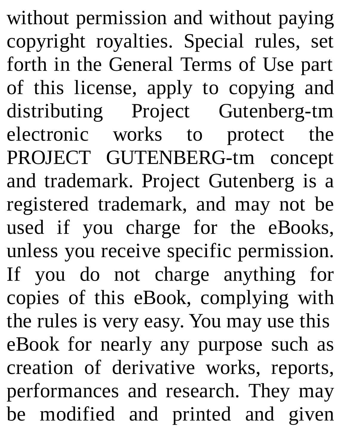without permission and without paying copyright royalties. Special rules, set forth in the General Terms of Use part of this license, apply to copying and distributing Project Gutenberg-tm electronic works to protect the PROJECT GUTENBERG-tm concept and trademark. Project Gutenberg is a registered trademark, and may not be used if you charge for the eBooks, unless you receive specific permission. If you do not charge anything for copies of this eBook, complying with the rules is very easy. You may use this eBook for nearly any purpose such as creation of derivative works, reports, performances and research. They may be modified and printed and given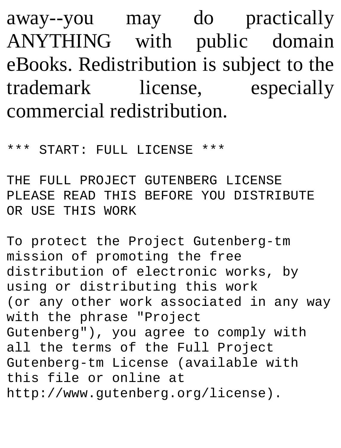away--you may do practically ANYTHING with public domain eBooks. Redistribution is subject to the trademark license, especially commercial redistribution.

\*\*\* START: FULL LICENSE \*\*\*

THE FULL PROJECT GUTENBERG LICENSE PLEASE READ THIS BEFORE YOU DISTRIBUTE OR USE THIS WORK

To protect the Project Gutenberg-tm mission of promoting the free distribution of electronic works, by using or distributing this work (or any other work associated in any way with the phrase "Project Gutenberg"), you agree to comply with all the terms of the Full Project Gutenberg-tm License (available with this file or online at http://www.gutenberg.org/license).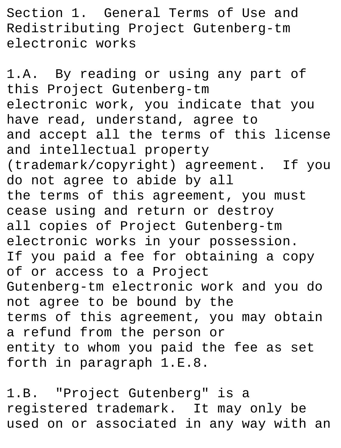Section 1. General Terms of Use and Redistributing Project Gutenberg-tm electronic works

1.A. By reading or using any part of this Project Gutenberg-tm electronic work, you indicate that you have read, understand, agree to and accept all the terms of this license and intellectual property (trademark/copyright) agreement. If you do not agree to abide by all the terms of this agreement, you must cease using and return or destroy all copies of Project Gutenberg-tm electronic works in your possession. If you paid a fee for obtaining a copy of or access to a Project Gutenberg-tm electronic work and you do not agree to be bound by the terms of this agreement, you may obtain a refund from the person or entity to whom you paid the fee as set forth in paragraph 1.E.8.

1.B. "Project Gutenberg" is a registered trademark. It may only be used on or associated in any way with an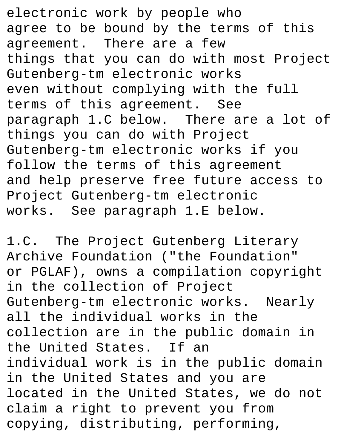electronic work by people who agree to be bound by the terms of this agreement. There are a few things that you can do with most Project Gutenberg-tm electronic works even without complying with the full terms of this agreement. See paragraph 1.C below. There are a lot of things you can do with Project Gutenberg-tm electronic works if you follow the terms of this agreement and help preserve free future access to Project Gutenberg-tm electronic works. See paragraph 1.E below.

1.C. The Project Gutenberg Literary Archive Foundation ("the Foundation" or PGLAF), owns a compilation copyright in the collection of Project Gutenberg-tm electronic works. Nearly all the individual works in the collection are in the public domain in the United States. If an individual work is in the public domain in the United States and you are located in the United States, we do not claim a right to prevent you from copying, distributing, performing,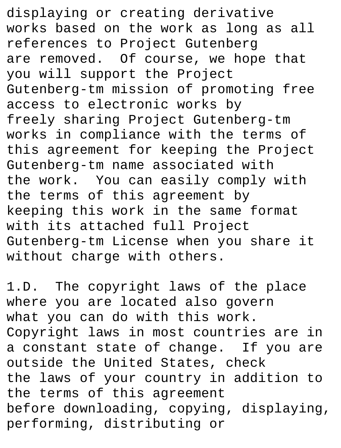displaying or creating derivative works based on the work as long as all references to Project Gutenberg are removed. Of course, we hope that you will support the Project Gutenberg-tm mission of promoting free access to electronic works by freely sharing Project Gutenberg-tm works in compliance with the terms of this agreement for keeping the Project Gutenberg-tm name associated with the work. You can easily comply with the terms of this agreement by keeping this work in the same format with its attached full Project Gutenberg-tm License when you share it without charge with others.

1.D. The copyright laws of the place where you are located also govern what you can do with this work. Copyright laws in most countries are in a constant state of change. If you are outside the United States, check the laws of your country in addition to the terms of this agreement before downloading, copying, displaying, performing, distributing or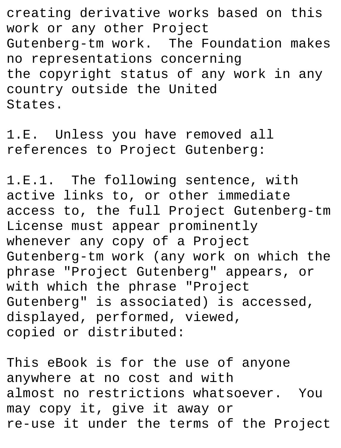creating derivative works based on this work or any other Project Gutenberg-tm work. The Foundation makes no representations concerning the copyright status of any work in any country outside the United States.

1.E. Unless you have removed all references to Project Gutenberg:

1.E.1. The following sentence, with active links to, or other immediate access to, the full Project Gutenberg-tm License must appear prominently whenever any copy of a Project Gutenberg-tm work (any work on which the phrase "Project Gutenberg" appears, or with which the phrase "Project Gutenberg" is associated) is accessed, displayed, performed, viewed, copied or distributed:

This eBook is for the use of anyone anywhere at no cost and with almost no restrictions whatsoever. You may copy it, give it away or re-use it under the terms of the Project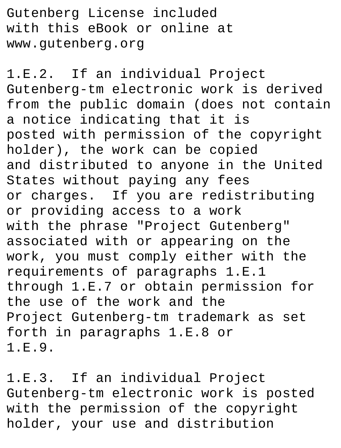Gutenberg License included with this eBook or online at www.gutenberg.org

1.E.2. If an individual Project Gutenberg-tm electronic work is derived from the public domain (does not contain a notice indicating that it is posted with permission of the copyright holder), the work can be copied and distributed to anyone in the United States without paying any fees or charges. If you are redistributing or providing access to a work with the phrase "Project Gutenberg" associated with or appearing on the work, you must comply either with the requirements of paragraphs 1.E.1 through 1.E.7 or obtain permission for the use of the work and the Project Gutenberg-tm trademark as set forth in paragraphs 1.E.8 or 1.E.9.

1.E.3. If an individual Project Gutenberg-tm electronic work is posted with the permission of the copyright holder, your use and distribution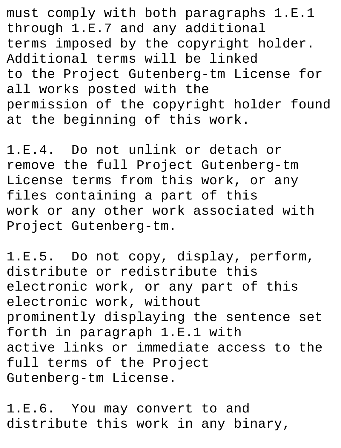must comply with both paragraphs 1.E.1 through 1.E.7 and any additional terms imposed by the copyright holder. Additional terms will be linked to the Project Gutenberg-tm License for all works posted with the permission of the copyright holder found at the beginning of this work.

1.E.4. Do not unlink or detach or remove the full Project Gutenberg-tm License terms from this work, or any files containing a part of this work or any other work associated with Project Gutenberg-tm.

1.E.5. Do not copy, display, perform, distribute or redistribute this electronic work, or any part of this electronic work, without prominently displaying the sentence set forth in paragraph 1.E.1 with active links or immediate access to the full terms of the Project Gutenberg-tm License.

1.E.6. You may convert to and distribute this work in any binary,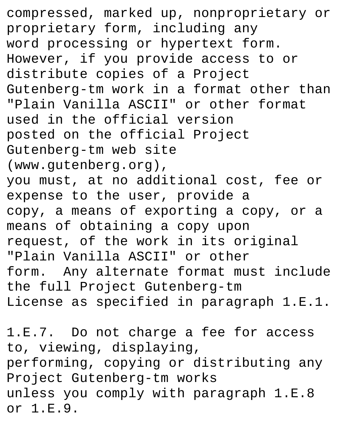compressed, marked up, nonproprietary or proprietary form, including any word processing or hypertext form. However, if you provide access to or distribute copies of a Project Gutenberg-tm work in a format other than "Plain Vanilla ASCII" or other format used in the official version posted on the official Project Gutenberg-tm web site (www.gutenberg.org), you must, at no additional cost, fee or expense to the user, provide a copy, a means of exporting a copy, or a means of obtaining a copy upon request, of the work in its original "Plain Vanilla ASCII" or other form. Any alternate format must include the full Project Gutenberg-tm License as specified in paragraph 1.E.1.

1.E.7. Do not charge a fee for access to, viewing, displaying, performing, copying or distributing any Project Gutenberg-tm works unless you comply with paragraph 1.E.8 or 1.E.9.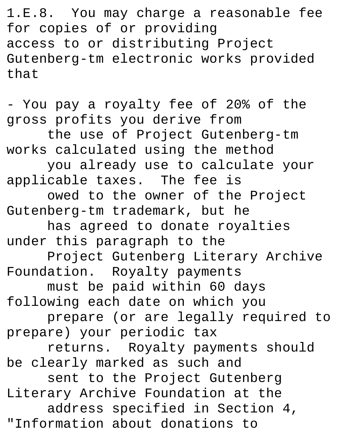1.E.8. You may charge a reasonable fee for copies of or providing access to or distributing Project Gutenberg-tm electronic works provided that

- You pay a royalty fee of 20% of the gross profits you derive from the use of Project Gutenberg-tm works calculated using the method you already use to calculate your applicable taxes. The fee is owed to the owner of the Project Gutenberg-tm trademark, but he has agreed to donate royalties under this paragraph to the Project Gutenberg Literary Archive Foundation. Royalty payments must be paid within 60 days following each date on which you prepare (or are legally required to prepare) your periodic tax returns. Royalty payments should be clearly marked as such and sent to the Project Gutenberg Literary Archive Foundation at the address specified in Section 4, "Information about donations to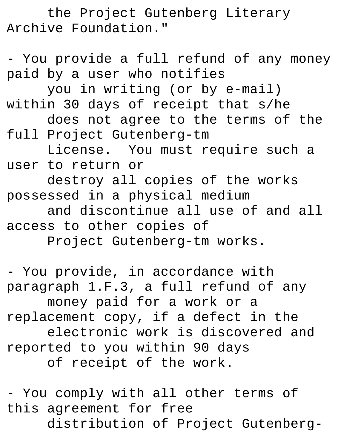the Project Gutenberg Literary Archive Foundation."

- You provide a full refund of any money paid by a user who notifies you in writing (or by e-mail) within 30 days of receipt that s/he does not agree to the terms of the full Project Gutenberg-tm License. You must require such a user to return or destroy all copies of the works possessed in a physical medium and discontinue all use of and all access to other copies of Project Gutenberg-tm works.

- You provide, in accordance with paragraph 1.F.3, a full refund of any money paid for a work or a replacement copy, if a defect in the electronic work is discovered and reported to you within 90 days of receipt of the work.

- You comply with all other terms of this agreement for free distribution of Project Gutenberg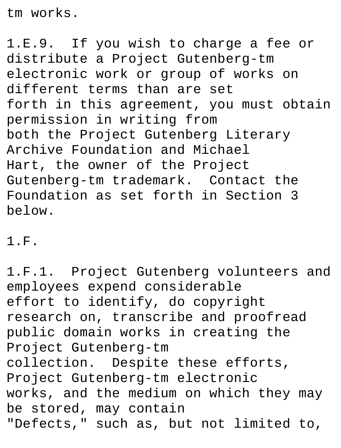tm works.

1.E.9. If you wish to charge a fee or distribute a Project Gutenberg-tm electronic work or group of works on different terms than are set forth in this agreement, you must obtain permission in writing from both the Project Gutenberg Literary Archive Foundation and Michael Hart, the owner of the Project Gutenberg-tm trademark. Contact the Foundation as set forth in Section 3 below.

1.F.

1.F.1. Project Gutenberg volunteers and employees expend considerable effort to identify, do copyright research on, transcribe and proofread public domain works in creating the Project Gutenberg-tm collection. Despite these efforts, Project Gutenberg-tm electronic works, and the medium on which they may be stored, may contain "Defects," such as, but not limited to,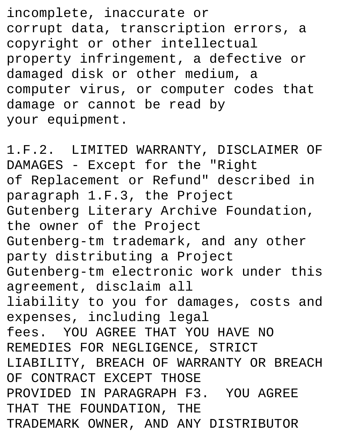incomplete, inaccurate or corrupt data, transcription errors, a copyright or other intellectual property infringement, a defective or damaged disk or other medium, a computer virus, or computer codes that damage or cannot be read by your equipment.

1.F.2. LIMITED WARRANTY, DISCLAIMER OF DAMAGES - Except for the "Right of Replacement or Refund" described in paragraph 1.F.3, the Project Gutenberg Literary Archive Foundation, the owner of the Project Gutenberg-tm trademark, and any other party distributing a Project Gutenberg-tm electronic work under this agreement, disclaim all liability to you for damages, costs and expenses, including legal fees. YOU AGREE THAT YOU HAVE NO REMEDIES FOR NEGLIGENCE, STRICT LIABILITY, BREACH OF WARRANTY OR BREACH OF CONTRACT EXCEPT THOSE PROVIDED IN PARAGRAPH F3. YOU AGREE THAT THE FOUNDATION, THE TRADEMARK OWNER, AND ANY DISTRIBUTOR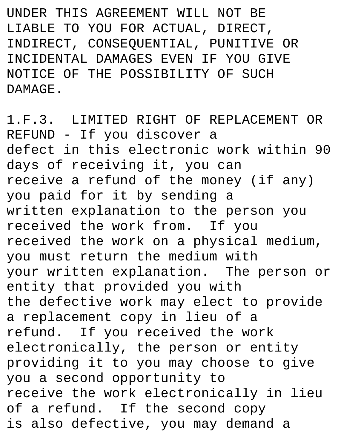UNDER THIS AGREEMENT WILL NOT BE LIABLE TO YOU FOR ACTUAL, DIRECT, INDIRECT, CONSEQUENTIAL, PUNITIVE OR INCIDENTAL DAMAGES EVEN IF YOU GIVE NOTICE OF THE POSSIBILITY OF SUCH **DAMAGE** 

1.F.3. LIMITED RIGHT OF REPLACEMENT OR REFUND - If you discover a defect in this electronic work within 90 days of receiving it, you can receive a refund of the money (if any) you paid for it by sending a written explanation to the person you received the work from. If you received the work on a physical medium, you must return the medium with your written explanation. The person or entity that provided you with the defective work may elect to provide a replacement copy in lieu of a refund. If you received the work electronically, the person or entity providing it to you may choose to give you a second opportunity to receive the work electronically in lieu of a refund. If the second copy is also defective, you may demand a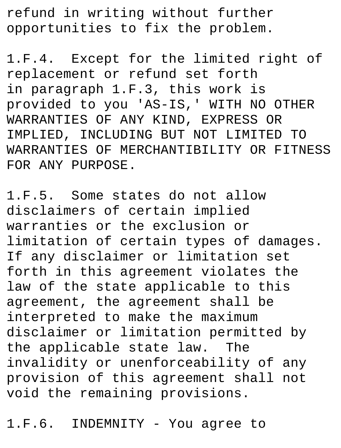refund in writing without further opportunities to fix the problem.

1.F.4. Except for the limited right of replacement or refund set forth in paragraph 1.F.3, this work is provided to you 'AS-IS,' WITH NO OTHER WARRANTIES OF ANY KIND, EXPRESS OR IMPLIED, INCLUDING BUT NOT LIMITED TO WARRANTIES OF MERCHANTIBILITY OR FITNESS FOR ANY PURPOSE.

1.F.5. Some states do not allow disclaimers of certain implied warranties or the exclusion or limitation of certain types of damages. If any disclaimer or limitation set forth in this agreement violates the law of the state applicable to this agreement, the agreement shall be interpreted to make the maximum disclaimer or limitation permitted by the applicable state law. The invalidity or unenforceability of any provision of this agreement shall not void the remaining provisions.

1.F.6. INDEMNITY - You agree to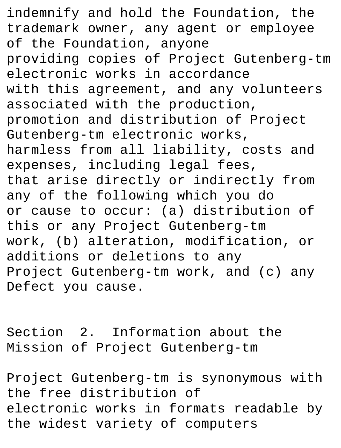indemnify and hold the Foundation, the trademark owner, any agent or employee of the Foundation, anyone providing copies of Project Gutenberg-tm electronic works in accordance with this agreement, and any volunteers associated with the production, promotion and distribution of Project Gutenberg-tm electronic works, harmless from all liability, costs and expenses, including legal fees, that arise directly or indirectly from any of the following which you do or cause to occur: (a) distribution of this or any Project Gutenberg-tm work, (b) alteration, modification, or additions or deletions to any Project Gutenberg-tm work, and (c) any Defect you cause.

Section 2. Information about the Mission of Project Gutenberg-tm

Project Gutenberg-tm is synonymous with the free distribution of electronic works in formats readable by the widest variety of computers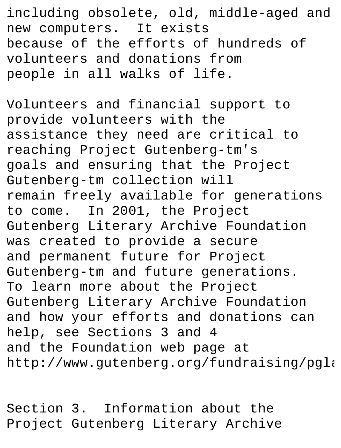including obsolete, old, middle-aged and new computers. It exists because of the efforts of hundreds of volunteers and donations from people in all walks of life.

Volunteers and financial support to provide volunteers with the assistance they need are critical to reaching Project Gutenberg-tm's goals and ensuring that the Project Gutenberg-tm collection will remain freely available for generations to come. In 2001, the Project Gutenberg Literary Archive Foundation was created to provide a secure and permanent future for Project Gutenberg-tm and future generations. To learn more about the Project Gutenberg Literary Archive Foundation and how your efforts and donations can help, see Sections 3 and 4 and the Foundation web page at http://www.qutenberg.org/fundraising/pgla

Section 3. Information about the Project Gutenberg Literary Archive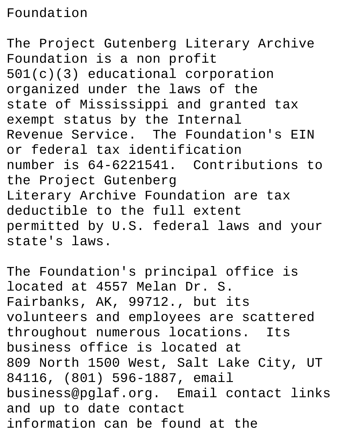## Foundation

The Project Gutenberg Literary Archive Foundation is a non profit 501(c)(3) educational corporation organized under the laws of the state of Mississippi and granted tax exempt status by the Internal Revenue Service. The Foundation's EIN or federal tax identification number is 64-6221541. Contributions to the Project Gutenberg Literary Archive Foundation are tax deductible to the full extent permitted by U.S. federal laws and your state's laws.

The Foundation's principal office is located at 4557 Melan Dr. S. Fairbanks, AK, 99712., but its volunteers and employees are scattered throughout numerous locations. Its business office is located at 809 North 1500 West, Salt Lake City, UT 84116, (801) 596-1887, email business@pglaf.org. Email contact links and up to date contact information can be found at the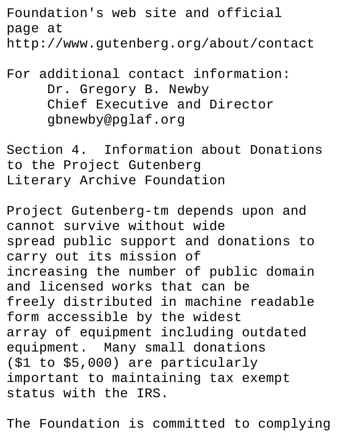Foundation's web site and official page at http://www.gutenberg.org/about/contact

## For additional contact information: Dr. Gregory B. Newby Chief Executive and Director gbnewby@pglaf.org

Section 4. Information about Donations to the Project Gutenberg Literary Archive Foundation

Project Gutenberg-tm depends upon and cannot survive without wide spread public support and donations to carry out its mission of increasing the number of public domain and licensed works that can be freely distributed in machine readable form accessible by the widest array of equipment including outdated equipment. Many small donations (\$1 to \$5,000) are particularly important to maintaining tax exempt status with the IRS.

The Foundation is committed to complying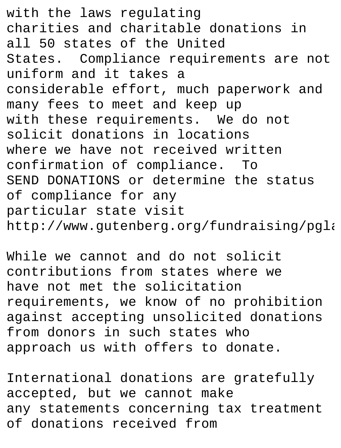with the laws regulating charities and charitable donations in all 50 states of the United States. Compliance requirements are not uniform and it takes a considerable effort, much paperwork and many fees to meet and keep up with these requirements. We do not solicit donations in locations where we have not received written confirmation of compliance. To SEND DONATIONS or determine the status of compliance for any particular state visit http://www.qutenberg.org/fundraising/pgla

While we cannot and do not solicit contributions from states where we have not met the solicitation requirements, we know of no prohibition against accepting unsolicited donations from donors in such states who approach us with offers to donate.

International donations are gratefully accepted, but we cannot make any statements concerning tax treatment of donations received from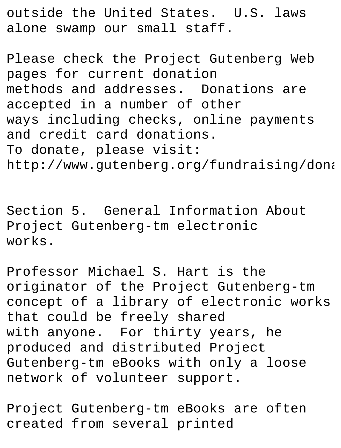outside the United States. U.S. laws alone swamp our small staff.

Please check the Project Gutenberg Web pages for current donation methods and addresses. Donations are accepted in a number of other ways including checks, online payments and credit card donations. To donate, please visit: http://www.gutenberg.org/fundraising/dona

Section 5. General Information About Project Gutenberg-tm electronic works.

Professor Michael S. Hart is the originator of the Project Gutenberg-tm concept of a library of electronic works that could be freely shared with anyone. For thirty years, he produced and distributed Project Gutenberg-tm eBooks with only a loose network of volunteer support.

Project Gutenberg-tm eBooks are often created from several printed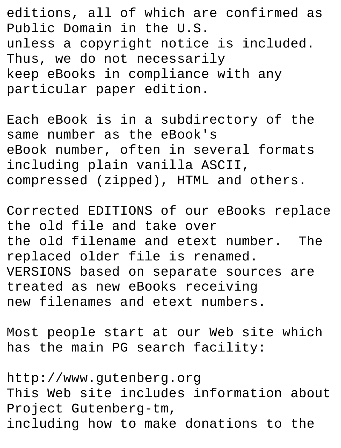editions, all of which are confirmed as Public Domain in the U.S. unless a copyright notice is included. Thus, we do not necessarily keep eBooks in compliance with any particular paper edition.

Each eBook is in a subdirectory of the same number as the eBook's eBook number, often in several formats including plain vanilla ASCII, compressed (zipped), HTML and others.

Corrected EDITIONS of our eBooks replace the old file and take over the old filename and etext number. The replaced older file is renamed. VERSIONS based on separate sources are treated as new eBooks receiving new filenames and etext numbers.

Most people start at our Web site which has the main PG search facility:

http://www.gutenberg.org This Web site includes information about Project Gutenberg-tm, including how to make donations to the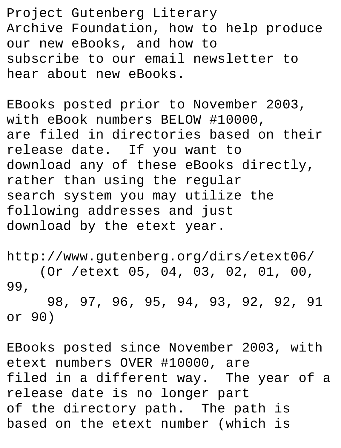Project Gutenberg Literary Archive Foundation, how to help produce our new eBooks, and how to subscribe to our email newsletter to hear about new eBooks.

EBooks posted prior to November 2003, with eBook numbers BELOW #10000, are filed in directories based on their release date. If you want to download any of these eBooks directly, rather than using the regular search system you may utilize the following addresses and just download by the etext year.

http://www.gutenberg.org/dirs/etext06/ (Or /etext 05, 04, 03, 02, 01, 00, 99, 98, 97, 96, 95, 94, 93, 92, 92, 91 or 90)

EBooks posted since November 2003, with etext numbers OVER #10000, are filed in a different way. The year of a release date is no longer part of the directory path. The path is based on the etext number (which is